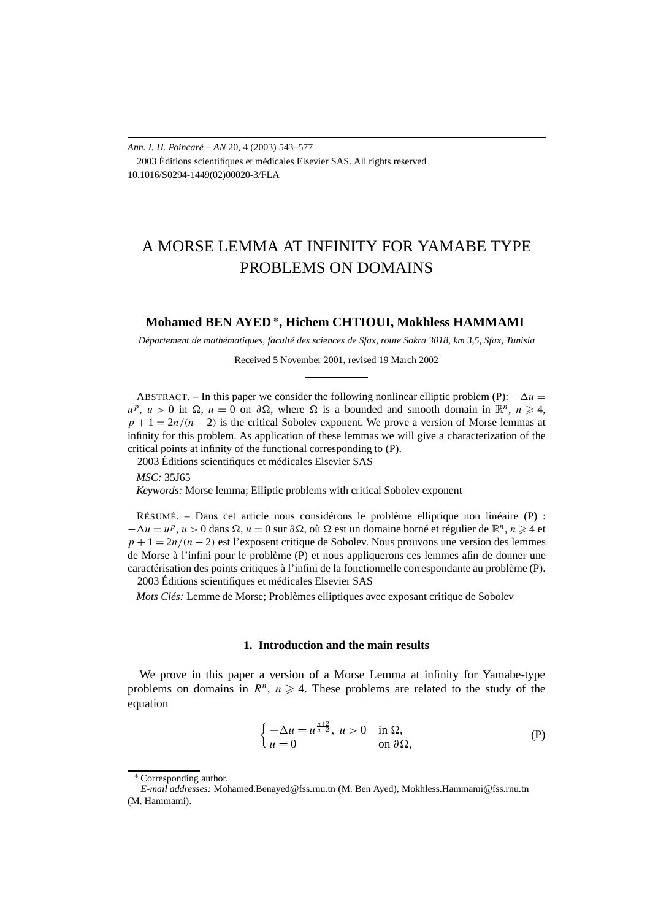*Ann. I. H. Poincaré – AN* 20, 4 (2003) 543–577 2003 Éditions scientifiques et médicales Elsevier SAS. All rights reserved 10.1016/S0294-1449(02)00020-3/FLA

# A MORSE LEMMA AT INFINITY FOR YAMABE TYPE PROBLEMS ON DOMAINS

# **Mohamed BEN AYED** <sup>∗</sup>**, Hichem CHTIOUI, Mokhless HAMMAMI**

*Département de mathématiques, faculté des sciences de Sfax, route Sokra 3018, km 3,5, Sfax, Tunisia*

Received 5 November 2001, revised 19 March 2002

ABSTRACT. – In this paper we consider the following nonlinear elliptic problem (P):  $-\Delta u$  =  $u^p$ ,  $u > 0$  in  $\Omega$ ,  $u = 0$  on  $\partial \Omega$ , where  $\Omega$  is a bounded and smooth domain in  $\mathbb{R}^n$ ,  $n \ge 4$ ,  $p + 1 = 2n/(n - 2)$  is the critical Sobolev exponent. We prove a version of Morse lemmas at infinity for this problem. As application of these lemmas we will give a characterization of the critical points at infinity of the functional corresponding to (P).

2003 Éditions scientifiques et médicales Elsevier SAS

*MSC:* 35J65 *Keywords:* Morse lemma; Elliptic problems with critical Sobolev exponent

RÉSUMÉ. – Dans cet article nous considérons le problème elliptique non linéaire (P) :  $-\Delta u = u^p$ ,  $u > 0$  dans  $\Omega$ ,  $u = 0$  sur  $\partial \Omega$ , où  $\Omega$  est un domaine borné et régulier de  $\mathbb{R}^n$ ,  $n \ge 4$  et *p* + 1 = 2*n*/(*n* − 2) est l'exposent critique de Sobolev. Nous prouvons une version des lemmes de Morse à l'infini pour le problème (P) et nous appliquerons ces lemmes afin de donner une caractérisation des points critiques à l'infini de la fonctionnelle correspondante au problème (P). 2003 Éditions scientifiques et médicales Elsevier SAS

*Mots Clés:* Lemme de Morse; Problèmes elliptiques avec exposant critique de Sobolev

## **1. Introduction and the main results**

We prove in this paper a version of a Morse Lemma at infinity for Yamabe-type problems on domains in  $R^n$ ,  $n \ge 4$ . These problems are related to the study of the equation

$$
\begin{cases}\n-\Delta u = u^{\frac{n+2}{n-2}}, \ u > 0 & \text{in } \Omega, \\
u = 0 & \text{on } \partial \Omega,\n\end{cases}
$$
\n(P)

<sup>∗</sup> Corresponding author.

*E-mail addresses:* Mohamed.Benayed@fss.rnu.tn (M. Ben Ayed), Mokhless.Hammami@fss.rnu.tn (M. Hammami).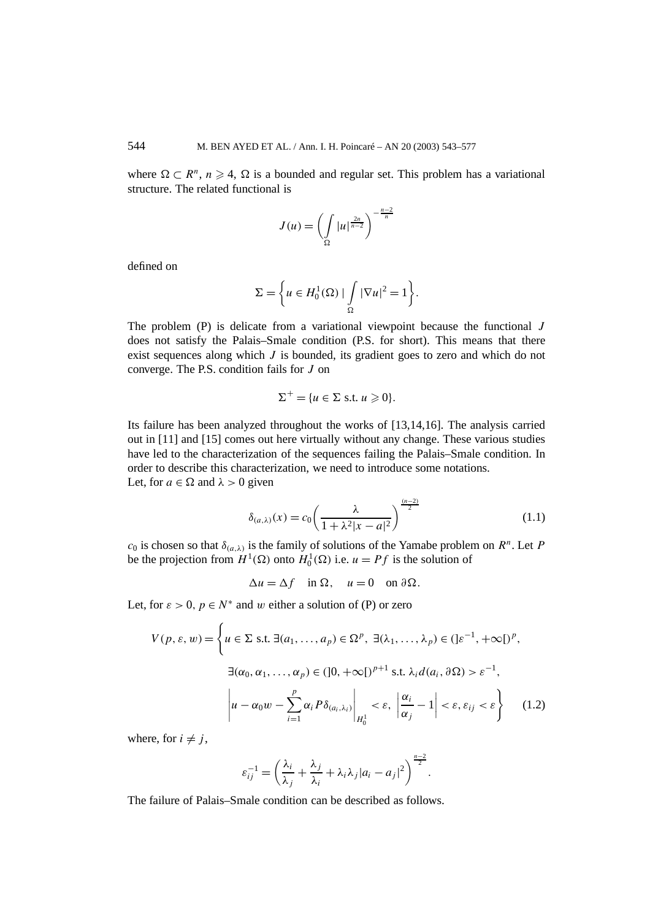where  $\Omega \subset \mathbb{R}^n$ ,  $n \geq 4$ ,  $\Omega$  is a bounded and regular set. This problem has a variational structure. The related functional is

$$
J(u) = \left(\int_{\Omega} |u|^{\frac{2n}{n-2}}\right)^{-\frac{n-2}{n}}
$$

defined on

$$
\Sigma = \left\{ u \in H_0^1(\Omega) \mid \int\limits_{\Omega} |\nabla u|^2 = 1 \right\}.
$$

The problem (P) is delicate from a variational viewpoint because the functional *J* does not satisfy the Palais–Smale condition (P.S. for short). This means that there exist sequences along which *J* is bounded, its gradient goes to zero and which do not converge. The P.S. condition fails for *J* on

$$
\Sigma^+ = \{ u \in \Sigma \text{ s.t. } u \geq 0 \}.
$$

Its failure has been analyzed throughout the works of [13,14,16]. The analysis carried out in [11] and [15] comes out here virtually without any change. These various studies have led to the characterization of the sequences failing the Palais–Smale condition. In order to describe this characterization, we need to introduce some notations. Let, for  $a \in \Omega$  and  $\lambda > 0$  given

$$
\delta_{(a,\lambda)}(x) = c_0 \left( \frac{\lambda}{1 + \lambda^2 |x - a|^2} \right)^{\frac{(n-2)}{2}} \tag{1.1}
$$

*c*<sub>0</sub> is chosen so that  $\delta_{(a,\lambda)}$  is the family of solutions of the Yamabe problem on  $R^n$ . Let *P* be the projection from  $H^1(\Omega)$  onto  $H_0^1(\Omega)$  i.e.  $u = Pf$  is the solution of

$$
\Delta u = \Delta f \quad \text{in } \Omega, \quad u = 0 \quad \text{on } \partial \Omega.
$$

Let, for  $\varepsilon > 0$ ,  $p \in N^*$  and w either a solution of (P) or zero

$$
V(p, \varepsilon, w) = \left\{ u \in \Sigma \text{ s.t. } \exists (a_1, \dots, a_p) \in \Omega^p, \exists (\lambda_1, \dots, \lambda_p) \in (]\varepsilon^{-1}, +\infty[)^p, \exists (\alpha_0, \alpha_1, \dots, \alpha_p) \in ([0, +\infty[)^{p+1} \text{ s.t. } \lambda_i d(a_i, \partial \Omega) > \varepsilon^{-1}, \right\}
$$

$$
\left| u - \alpha_0 w - \sum_{i=1}^p \alpha_i P \delta_{(a_i, \lambda_i)} \right|_{H_0^1} < \varepsilon, \left| \frac{\alpha_i}{\alpha_j} - 1 \right| < \varepsilon, \varepsilon_{ij} < \varepsilon \right\} \tag{1.2}
$$

where, for  $i \neq j$ ,

$$
\varepsilon_{ij}^{-1} = \left(\frac{\lambda_i}{\lambda_j} + \frac{\lambda_j}{\lambda_i} + \lambda_i \lambda_j |a_i - a_j|^2\right)^{\frac{n-2}{2}}.
$$

The failure of Palais–Smale condition can be described as follows.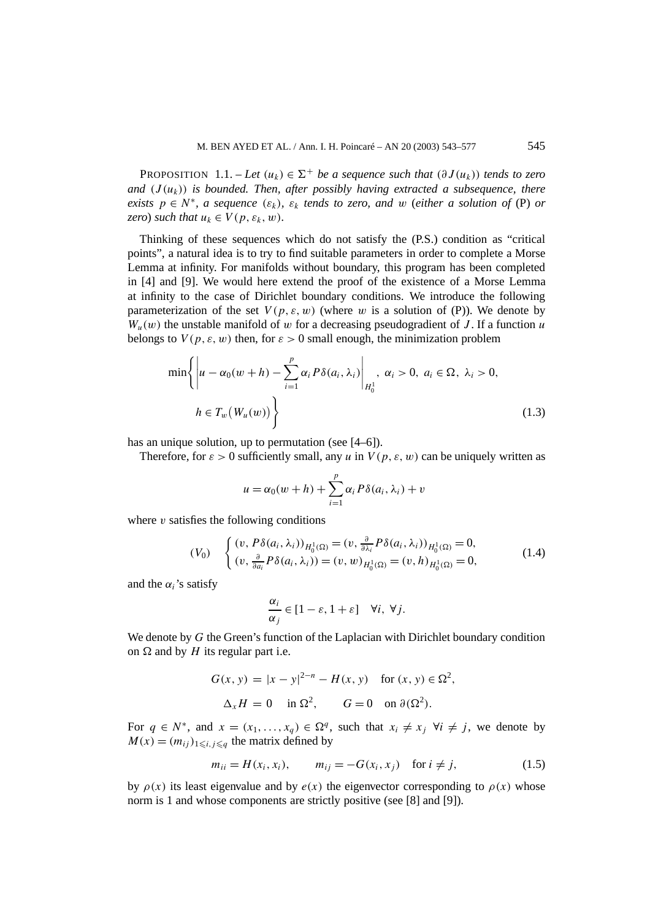PROPOSITION 1.1. – *Let*  $(u_k) \in \Sigma^+$  *be a sequence such that*  $(\partial J(u_k))$  *tends to zero* and  $(J(u_k))$  is bounded. Then, after possibly having extracted a subsequence, there *exists*  $p \in N^*$ *, a sequence*  $(\varepsilon_k)$ *,*  $\varepsilon_k$  *tends to zero, and w (either a solution of (P) or zero*) *such that*  $u_k \in V(p, \varepsilon_k, w)$ *.* 

Thinking of these sequences which do not satisfy the (P.S.) condition as "critical points", a natural idea is to try to find suitable parameters in order to complete a Morse Lemma at infinity. For manifolds without boundary, this program has been completed in [4] and [9]. We would here extend the proof of the existence of a Morse Lemma at infinity to the case of Dirichlet boundary conditions. We introduce the following parameterization of the set  $V(p, \varepsilon, w)$  (where *w* is a solution of (P)). We denote by  $W_u(w)$  the unstable manifold of *w* for a decreasing pseudogradient of *J*. If a function *u* belongs to  $V(p, \varepsilon, w)$  then, for  $\varepsilon > 0$  small enough, the minimization problem

$$
\min\left\{\left|u-\alpha_0(w+h)-\sum_{i=1}^p\alpha_i P\delta(a_i,\lambda_i)\right|_{H_0^1},\ \alpha_i>0,\ a_i\in\Omega,\ \lambda_i>0, \right\}
$$
\n
$$
h\in T_w(W_u(w))\right\}
$$
\n(1.3)

has an unique solution, up to permutation (see [4–6]).

Therefore, for  $\varepsilon > 0$  sufficiently small, any *u* in  $V(p, \varepsilon, w)$  can be uniquely written as

$$
u = \alpha_0(w+h) + \sum_{i=1}^p \alpha_i P\delta(a_i,\lambda_i) + v
$$

where  $\nu$  satisfies the following conditions

$$
(V_0) \quad \begin{cases} (v, P\delta(a_i, \lambda_i))_{H_0^1(\Omega)} = (v, \frac{\partial}{\partial \lambda_i} P\delta(a_i, \lambda_i))_{H_0^1(\Omega)} = 0, \\ (v, \frac{\partial}{\partial a_i} P\delta(a_i, \lambda_i)) = (v, w)_{H_0^1(\Omega)} = (v, h)_{H_0^1(\Omega)} = 0, \end{cases}
$$
(1.4)

and the  $\alpha_i$ 's satisfy

$$
\frac{\alpha_i}{\alpha_j} \in [1 - \varepsilon, 1 + \varepsilon] \quad \forall i, \ \forall j.
$$

We denote by *G* the Green's function of the Laplacian with Dirichlet boundary condition on  $\Omega$  and by *H* its regular part i.e.

$$
G(x, y) = |x - y|^{2-n} - H(x, y) \quad \text{for } (x, y) \in \Omega^2,
$$
  

$$
\Delta_x H = 0 \quad \text{in } \Omega^2, \qquad G = 0 \quad \text{on } \partial(\Omega^2).
$$

For  $q \in N^*$ , and  $x = (x_1, \ldots, x_q) \in \Omega^q$ , such that  $x_i \neq x_j$   $\forall i \neq j$ , we denote by  $M(x) = (m_{ij})_{1 \le i, j \le q}$  the matrix defined by

$$
m_{ii} = H(x_i, x_i), \qquad m_{ij} = -G(x_i, x_j) \quad \text{for } i \neq j,
$$
 (1.5)

by  $\rho(x)$  its least eigenvalue and by  $e(x)$  the eigenvector corresponding to  $\rho(x)$  whose norm is 1 and whose components are strictly positive (see [8] and [9]).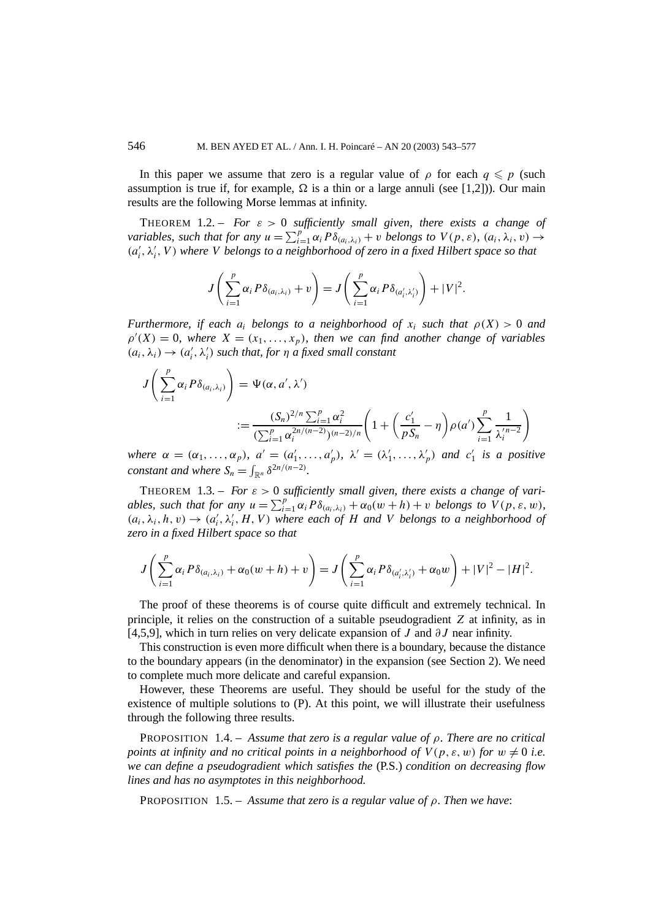In this paper we assume that zero is a regular value of  $\rho$  for each  $q \leq p$  (such assumption is true if, for example,  $\Omega$  is a thin or a large annuli (see [1,2])). Our main results are the following Morse lemmas at infinity.

THEOREM 1.2. – *For*  $\varepsilon > 0$  *sufficiently small given, there exists a change of variables, such that for any*  $u = \sum_{i=1}^{p} \alpha_i P \delta_{(a_i,\lambda_i)} + v$  *belongs to*  $V(p,\varepsilon)$ *,*  $(a_i, \lambda_i, v) \rightarrow$  $(a'_i, \lambda'_i, V)$  where *V* belongs to a neighborhood of zero in a fixed Hilbert space so that

$$
J\left(\sum_{i=1}^p \alpha_i P\delta_{(a_i,\lambda_i)} + v\right) = J\left(\sum_{i=1}^p \alpha_i P\delta_{(a'_i,\lambda'_i)}\right) + |V|^2.
$$

*Furthermore, if each*  $a_i$  *belongs to a neighborhood of*  $x_i$  *such that*  $\rho(X) > 0$  *and*  $\rho'(X) = 0$ , where  $X = (x_1, \ldots, x_p)$ , then we can find another change of variables  $(a_i, \lambda_i) \rightarrow (a'_i, \lambda'_i)$  *such that, for*  $\eta$  *a fixed small constant* 

$$
J\left(\sum_{i=1}^{p} \alpha_{i} P \delta_{(a_{i},\lambda_{i})}\right) = \Psi(\alpha, a', \lambda')
$$
  

$$
:= \frac{(S_{n})^{2/n} \sum_{i=1}^{p} \alpha_{i}^{2}}{(\sum_{i=1}^{p} \alpha_{i}^{2n/(n-2)})^{(n-2)/n}} \left(1 + \left(\frac{c'_{1}}{pS_{n}} - \eta\right) \rho(a') \sum_{i=1}^{p} \frac{1}{\lambda_{i}'}^{n-2}\right)
$$

*where*  $\alpha = (\alpha_1, \ldots, \alpha_p)$ *,*  $a' = (a'_1, \ldots, a'_p)$ *,*  $\lambda' = (\lambda'_1, \ldots, \lambda'_p)$  and  $c'_1$  is a positive *constant and where*  $S_n = \int_{\mathbb{R}^n} \delta^{2n/(n-2)}$ *.* 

THEOREM 1.3. – *For*  $\varepsilon > 0$  sufficiently small given, there exists a change of vari*ables, such that for any*  $u = \sum_{i=1}^{p} \alpha_i P \delta_{(a_i,\lambda_i)} + \alpha_0(w+h) + v$  *belongs to*  $V(p,\varepsilon,w)$ *,*  $(a_i, \lambda_i, h, v) \rightarrow (a'_i, \lambda'_i, H, V)$  where each of *H* and *V* belongs to a neighborhood of *zero in a fixed Hilbert space so that*

$$
J\left(\sum_{i=1}^p \alpha_i P\delta_{(a_i,\lambda_i)} + \alpha_0(w+h) + v\right) = J\left(\sum_{i=1}^p \alpha_i P\delta_{(a'_i,\lambda'_i)} + \alpha_0 w\right) + |V|^2 - |H|^2.
$$

The proof of these theorems is of course quite difficult and extremely technical. In principle, it relies on the construction of a suitable pseudogradient *Z* at infinity, as in [4,5,9], which in turn relies on very delicate expansion of *J* and *∂J* near infinity.

This construction is even more difficult when there is a boundary, because the distance to the boundary appears (in the denominator) in the expansion (see Section 2). We need to complete much more delicate and careful expansion.

However, these Theorems are useful. They should be useful for the study of the existence of multiple solutions to (P). At this point, we will illustrate their usefulness through the following three results.

PROPOSITION 1.4. – *Assume that zero is a regular value of ρ. There are no critical points at infinity and no critical points in a neighborhood of*  $V(p, \varepsilon, w)$  *for*  $w \neq 0$  *i.e. we can define a pseudogradient which satisfies the* (P.S.) *condition on decreasing flow lines and has no asymptotes in this neighborhood.*

PROPOSITION 1.5. – *Assume that zero is a regular value of ρ. Then we have*: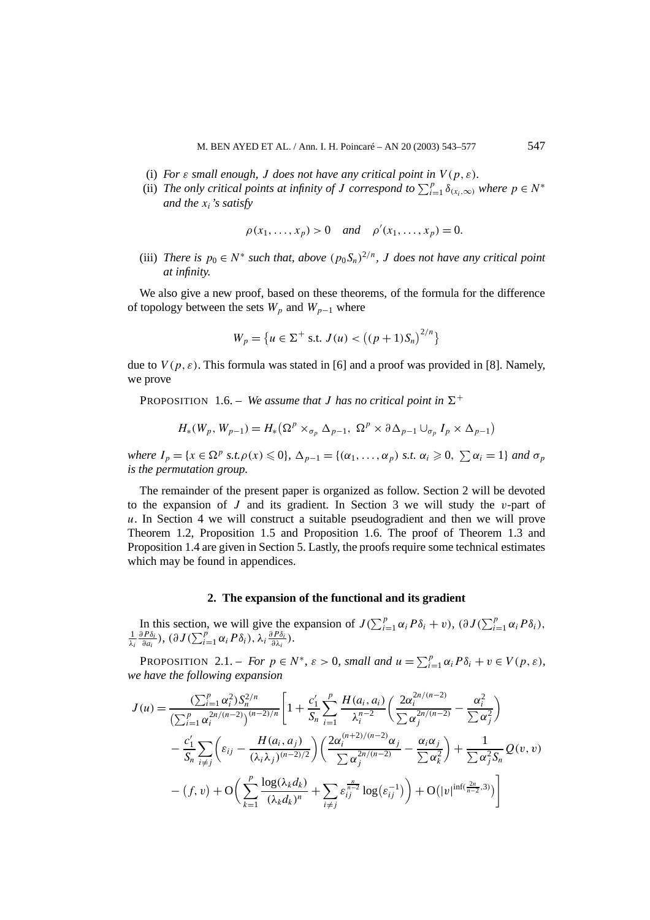- (i) *For*  $\varepsilon$  *small enough, J* does not have any critical point in  $V(p, \varepsilon)$ *.*
- (ii) *The only critical points at infinity of J correspond to*  $\sum_{i=1}^{p} \delta_{(x_i,\infty)}$  *where*  $p \in N^*$ *and the xi's satisfy*

$$
\rho(x_1,...,x_p) > 0
$$
 and  $\rho'(x_1,...,x_p) = 0$ .

(iii) *There is*  $p_0 \in N^*$  *such that, above*  $(p_0 S_n)^{2/n}$ *, J does not have any critical point at infinity.*

We also give a new proof, based on these theorems, of the formula for the difference of topology between the sets  $W_p$  and  $W_{p-1}$  where

$$
W_p = \{ u \in \Sigma^+ \text{ s.t. } J(u) < \left( (p+1)S_n \right)^{2/n} \}
$$

due to  $V(p, \varepsilon)$ . This formula was stated in [6] and a proof was provided in [8]. Namely, we prove

**PROPOSITION** 1.6. – *We assume that J has no critical point in*  $\Sigma^+$ 

$$
H_*(W_p, W_{p-1}) = H_* \big( \Omega^p \times_{\sigma_p} \Delta_{p-1}, \ \Omega^p \times \partial \Delta_{p-1} \cup_{\sigma_p} I_p \times \Delta_{p-1} \big)
$$

*where*  $I_p = \{x \in \Omega^p \text{ s.t. } \rho(x) \leq 0\}$ ,  $\Delta_{p-1} = \{(\alpha_1, \ldots, \alpha_p) \text{ s.t. } \alpha_i \geq 0, \sum \alpha_i = 1\}$  and  $\sigma_p$ *is the permutation group.*

The remainder of the present paper is organized as follow. Section 2 will be devoted to the expansion of *J* and its gradient. In Section 3 we will study the *v*-part of *u*. In Section 4 we will construct a suitable pseudogradient and then we will prove Theorem 1.2, Proposition 1.5 and Proposition 1.6. The proof of Theorem 1.3 and Proposition 1.4 are given in Section 5. Lastly, the proofs require some technical estimates which may be found in appendices.

## **2. The expansion of the functional and its gradient**

In this section, we will give the expansion of  $J(\sum_{i=1}^p \alpha_i P \delta_i + v)$ ,  $(\partial J(\sum_{i=1}^p \alpha_i P \delta_i)$ ,<br>  $\frac{1}{2} \frac{\partial P \delta_i}{\partial I(\sum_{i=1}^p \alpha_i P \delta_i)}$ *λi*  $\frac{\partial P\delta_i}{\partial a_i}$ ),  $(\partial J(\sum_{i=1}^p\alpha_i P\delta_i), \lambda_i \frac{\partial P\delta_i}{\partial \lambda_i}).$ 

PROPOSITION 2.1. – *For*  $p \in N^*$ ,  $\varepsilon > 0$ , small and  $u = \sum_{i=1}^p \alpha_i P \delta_i + v \in V(p, \varepsilon)$ , *we have the following expansion*

$$
J(u) = \frac{\left(\sum_{i=1}^{p} \alpha_{i}^{2}\right) S_{n}^{2/n}}{\left(\sum_{i=1}^{p} \alpha_{i}^{2n/(n-2)}\right)^{(n-2)/n}} \left[1 + \frac{c_{1}'}{S_{n}} \sum_{i=1}^{p} \frac{H(a_{i}, a_{i})}{\lambda_{i}^{n-2}} \left(\frac{2\alpha_{i}^{2n/(n-2)}}{\sum \alpha_{j}^{2n/(n-2)}} - \frac{\alpha_{i}^{2}}{\sum \alpha_{j}^{2}}\right)\right.-\frac{c_{1}'}{S_{n}} \sum_{i \neq j} \left(\varepsilon_{ij} - \frac{H(a_{i}, a_{j})}{(\lambda_{i} \lambda_{j})^{(n-2)/2}}\right) \left(\frac{2\alpha_{i}^{(n+2)/(n-2)} \alpha_{j}}{\sum \alpha_{j}^{2n/(n-2)}} - \frac{\alpha_{i} \alpha_{j}}{\sum \alpha_{k}^{2}}\right) + \frac{1}{\sum \alpha_{j}^{2} S_{n}} Q(v, v) - (f, v) + O\left(\sum_{k=1}^{p} \frac{\log(\lambda_{k} d_{k})}{(\lambda_{k} d_{k})^{n}} + \sum_{i \neq j} \varepsilon_{ij}^{\frac{n}{n-2}} \log(\varepsilon_{ij}^{-1})\right) + O\left(|v|^{\inf(\frac{2n}{n-2}, 3)}\right)
$$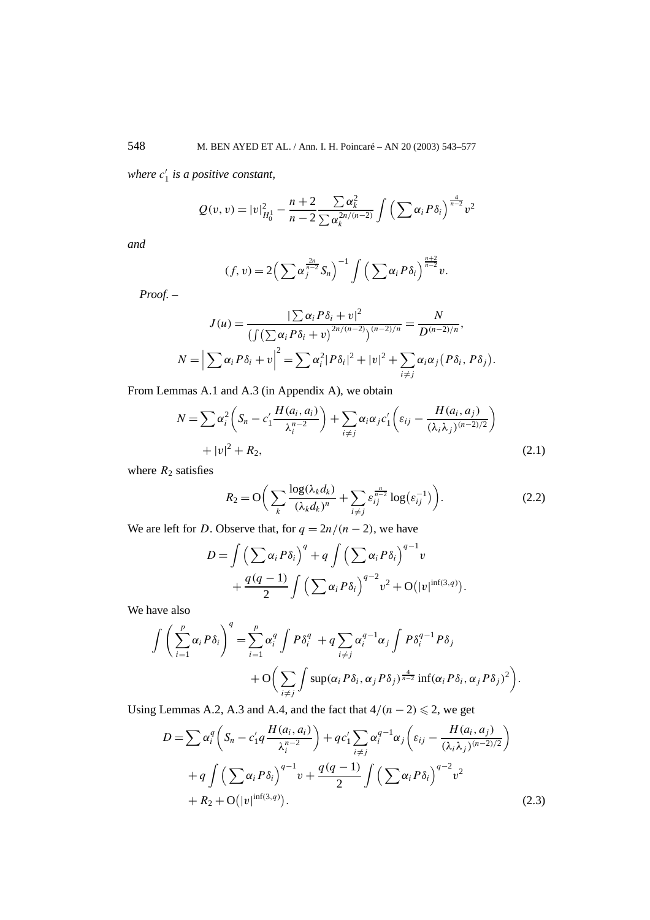*where c* <sup>1</sup> *is a positive constant,*

$$
Q(v, v) = |v|_{H_0^1}^2 - \frac{n+2}{n-2} \frac{\sum \alpha_k^2}{\sum \alpha_k^{2n/(n-2)}} \int \left(\sum \alpha_i P \delta_i\right)^{\frac{4}{n-2}} v^2
$$

*and*

$$
(f, v) = 2\left(\sum \alpha_j^{\frac{2n}{n-2}} S_n\right)^{-1} \int \left(\sum \alpha_i P \delta_i\right)^{\frac{n+2}{n-2}} v.
$$

*Proof. –*

$$
J(u) = \frac{|\sum \alpha_i P\delta_i + v|^2}{\left(\int (\sum \alpha_i P\delta_i + v)^{2n/(n-2)}\right)^{(n-2)/n}} = \frac{N}{D^{(n-2)/n}},
$$
  

$$
N = \left|\sum \alpha_i P\delta_i + v\right|^2 = \sum \alpha_i^2 |P\delta_i|^2 + |v|^2 + \sum_{i \neq j} \alpha_i \alpha_j (P\delta_i, P\delta_j).
$$

From Lemmas A.1 and A.3 (in Appendix A), we obtain

$$
N = \sum \alpha_i^2 \left( S_n - c_1' \frac{H(a_i, a_i)}{\lambda_i^{n-2}} \right) + \sum_{i \neq j} \alpha_i \alpha_j c_1' \left( \varepsilon_{ij} - \frac{H(a_i, a_j)}{(\lambda_i \lambda_j)^{(n-2)/2}} \right) + |v|^2 + R_2,
$$
\n(2.1)

where  $R_2$  satisfies

$$
R_2 = \mathcal{O}\bigg(\sum_k \frac{\log(\lambda_k d_k)}{(\lambda_k d_k)^n} + \sum_{i \neq j} \varepsilon_{ij}^{\frac{n}{n-2}} \log(\varepsilon_{ij}^{-1})\bigg). \tag{2.2}
$$

We are left for *D*. Observe that, for  $q = \frac{2n}{n-2}$ , we have

$$
D = \int \left(\sum \alpha_i P \delta_i\right)^q + q \int \left(\sum \alpha_i P \delta_i\right)^{q-1} v
$$
  
+ 
$$
\frac{q(q-1)}{2} \int \left(\sum \alpha_i P \delta_i\right)^{q-2} v^2 + O(|v|^{\inf(3,q)}).
$$

We have also

$$
\int \left(\sum_{i=1}^p \alpha_i P \delta_i\right)^q = \sum_{i=1}^p \alpha_i^q \int P \delta_i^q + q \sum_{i \neq j} \alpha_i^{q-1} \alpha_j \int P \delta_i^{q-1} P \delta_j
$$
  
+ 
$$
O\left(\sum_{i \neq j} \int \sup (\alpha_i P \delta_i, \alpha_j P \delta_j)^{\frac{4}{n-2}} \inf (\alpha_i P \delta_i, \alpha_j P \delta_j)^2\right).
$$

Using Lemmas A.2, A.3 and A.4, and the fact that  $4/(n-2) \le 2$ , we get

$$
D = \sum \alpha_i^q \left( S_n - c'_1 q \frac{H(a_i, a_i)}{\lambda_i^{n-2}} \right) + q c'_1 \sum_{i \neq j} \alpha_i^{q-1} \alpha_j \left( \varepsilon_{ij} - \frac{H(a_i, a_j)}{(\lambda_i \lambda_j)^{(n-2)/2}} \right) + q \int \left( \sum \alpha_i P \delta_i \right)^{q-1} v + \frac{q(q-1)}{2} \int \left( \sum \alpha_i P \delta_i \right)^{q-2} v^2 + R_2 + O(|v|^{\inf(3, q)}).
$$
 (2.3)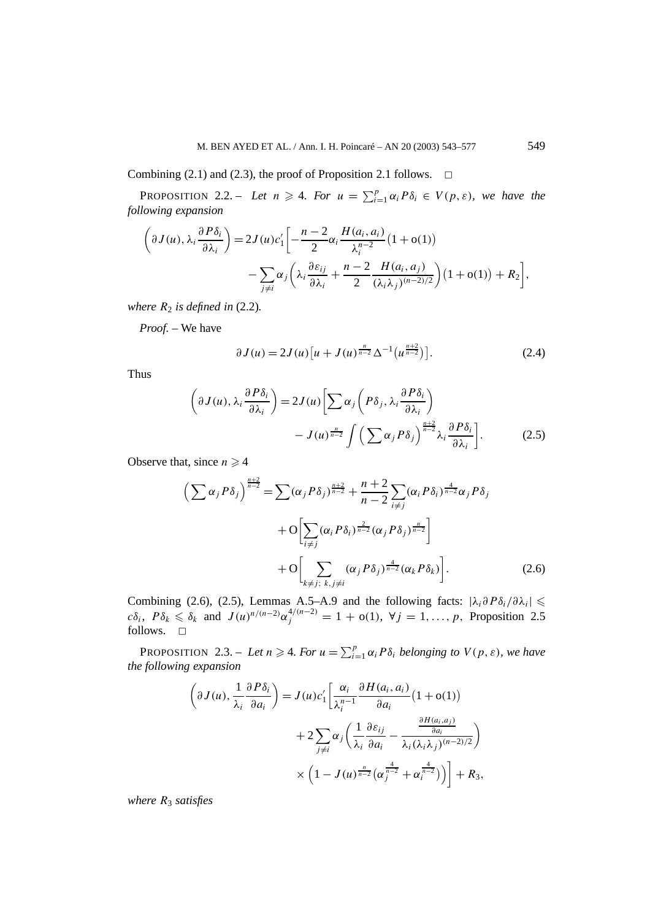Combining (2.1) and (2.3), the proof of Proposition 2.1 follows.  $\Box$ 

PROPOSITION 2.2. – Let  $n \geq 4$ . For  $u = \sum_{i=1}^{p} \alpha_i P \delta_i \in V(p, \varepsilon)$ , we have the *following expansion*

$$
\left(\partial J(u), \lambda_i \frac{\partial P \delta_i}{\partial \lambda_i}\right) = 2J(u)c'_1 \left[ -\frac{n-2}{2} \alpha_i \frac{H(a_i, a_i)}{\lambda_i^{n-2}} (1 + o(1)) - \sum_{j \neq i} \alpha_j \left(\lambda_i \frac{\partial \varepsilon_{ij}}{\partial \lambda_i} + \frac{n-2}{2} \frac{H(a_i, a_j)}{(\lambda_i \lambda_j)^{(n-2)/2}}\right) (1 + o(1)) + R_2 \right],
$$

*where*  $R_2$  *is defined in* (2.2).

*Proof. –* We have

$$
\partial J(u) = 2J(u)[u + J(u)^{\frac{n}{n-2}}\Delta^{-1}(u^{\frac{n+2}{n-2}})].
$$
\n(2.4)

Thus

$$
\left(\partial J(u), \lambda_i \frac{\partial P \delta_i}{\partial \lambda_i}\right) = 2J(u) \left[\sum \alpha_j \left(P \delta_j, \lambda_i \frac{\partial P \delta_i}{\partial \lambda_i}\right) - J(u)^{\frac{n}{n-2}} \int \left(\sum \alpha_j P \delta_j\right)^{\frac{n+2}{n-2}} \lambda_i \frac{\partial P \delta_i}{\partial \lambda_i}\right].
$$
\n(2.5)

Observe that, since  $n \geq 4$ 

$$
\left(\sum \alpha_j P\delta_j\right)^{\frac{n+2}{n-2}} = \sum (\alpha_j P\delta_j)^{\frac{n+2}{n-2}} + \frac{n+2}{n-2} \sum_{i \neq j} (\alpha_i P\delta_i)^{\frac{4}{n-2}} \alpha_j P\delta_j
$$

$$
+ O\left[\sum_{i \neq j} (\alpha_i P\delta_i)^{\frac{2}{n-2}} (\alpha_j P\delta_j)^{\frac{n}{n-2}}\right]
$$

$$
+ O\left[\sum_{k \neq j; k, j \neq i} (\alpha_j P\delta_j)^{\frac{4}{n-2}} (\alpha_k P\delta_k)\right].
$$
(2.6)

Combining (2.6), (2.5), Lemmas A.5–A.9 and the following facts:  $|\lambda_i \partial P \delta_i / \partial \lambda_i| \leq$  $c\delta_i$ ,  $P\delta_k \leq \delta_k$  and  $J(u)^{n/(n-2)}\alpha_j^{4/(n-2)} = 1 + o(1)$ ,  $\forall j = 1, ..., p$ , Proposition 2.5 follows.  $\square$ 

PROPOSITION 2.3. – Let  $n \geq 4$ . For  $u = \sum_{i=1}^{p} \alpha_i P \delta_i$  belonging to  $V(p, \varepsilon)$ , we have *the following expansion*

$$
\left(\partial J(u), \frac{1}{\lambda_i} \frac{\partial P \delta_i}{\partial a_i}\right) = J(u)c'_1 \left[\frac{\alpha_i}{\lambda_i^{n-1}} \frac{\partial H(a_i, a_i)}{\partial a_i} (1 + o(1))\right] \n+ 2 \sum_{j \neq i} \alpha_j \left(\frac{1}{\lambda_i} \frac{\partial \varepsilon_{ij}}{\partial a_i} - \frac{\frac{\partial H(a_i, a_j)}{\partial a_i}}{\lambda_i (\lambda_i \lambda_j)^{(n-2)/2}}\right) \n\times \left(1 - J(u)^{\frac{n}{n-2}} (\alpha_j^{\frac{4}{n-2}} + \alpha_i^{\frac{4}{n-2}})\right) + R_3,
$$

*where R*<sup>3</sup> *satisfies*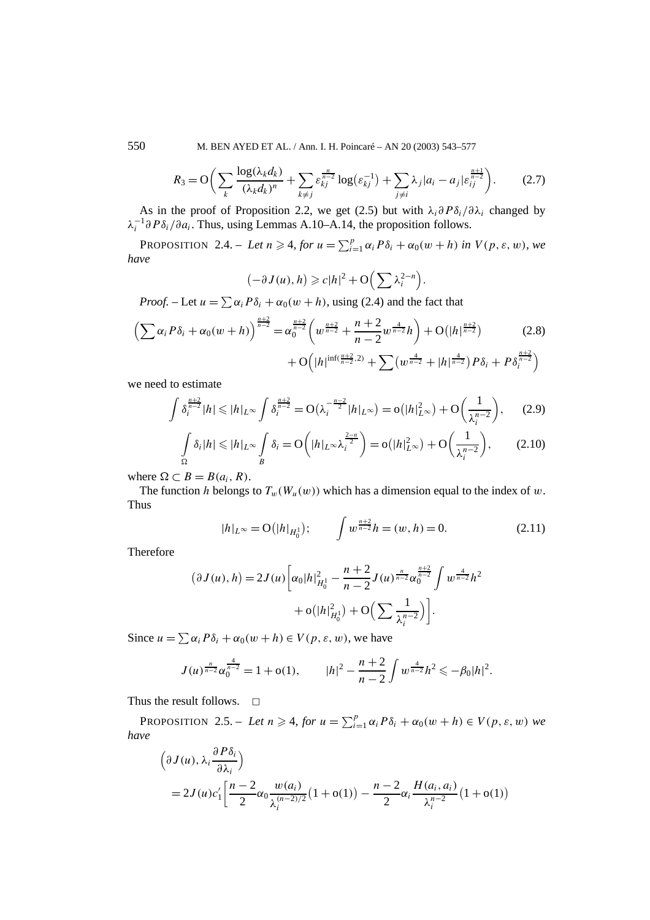550 M. BEN AYED ET AL. / Ann. I. H. Poincaré – AN 20 (2003) 543–577

$$
R_3 = \mathcal{O}\bigg(\sum_k \frac{\log(\lambda_k d_k)}{(\lambda_k d_k)^n} + \sum_{k \neq j} \varepsilon_{kj}^{\frac{n}{n-2}} \log(\varepsilon_{kj}^{-1}) + \sum_{j \neq i} \lambda_j |a_i - a_j| \varepsilon_{ij}^{\frac{n+1}{n-2}}\bigg). \tag{2.7}
$$

As in the proof of Proposition 2.2, we get (2.5) but with  $\lambda_i \frac{\partial P \delta_i}{\partial \lambda_i}$  changed by *λ*<sup>-1</sup>∂*Pδ*<sub>*i*</sub> /∂*a*<sub>*i*</sub>. Thus, using Lemmas A.10–A.14, the proposition follows.

PROPOSITION 2.4. – Let  $n \geq 4$ , for  $u = \sum_{i=1}^{p} \alpha_i P \delta_i + \alpha_0 (w + h)$  in  $V(p, \varepsilon, w)$ , we *have*

$$
(-\partial J(u), h) \geqslant c|h|^2 + \mathcal{O}\Big(\sum \lambda_i^{2-n}\Big).
$$

*Proof.* – Let  $u = \sum \alpha_i P \delta_i + \alpha_0 (w + h)$ , using (2.4) and the fact that

$$
\left(\sum \alpha_i P\delta_i + \alpha_0(w+h)\right)^{\frac{n+2}{n-2}} = \alpha_0^{\frac{n+2}{n-2}} \left(w^{\frac{n+2}{n-2}} + \frac{n+2}{n-2}w^{\frac{4}{n-2}}h\right) + O(|h|^{\frac{n+2}{n-2}}) \tag{2.8}
$$

$$
+ O\left(|h|^{\inf(\frac{n+2}{n-2},2)} + \sum (w^{\frac{4}{n-2}} + |h|^{\frac{4}{n-2}})P\delta_i + P\delta_i^{\frac{n+2}{n-2}}\right)
$$

we need to estimate

$$
\int \delta_i^{\frac{n+2}{n-2}} |h| \leqslant |h|_{L^\infty} \int \delta_i^{\frac{n+2}{n-2}} = O\left(\lambda_i^{-\frac{n-2}{2}} |h|_{L^\infty}\right) = o\left(|h|_{L^\infty}^2\right) + O\left(\frac{1}{\lambda_i^{n-2}}\right),\tag{2.9}
$$

$$
\int_{\Omega} \delta_i |h| \leqslant |h|_{L^{\infty}} \int_{B} \delta_i = O\left(|h|_{L^{\infty}} \lambda_i^{\frac{2-n}{2}}\right) = o\left(|h|_{L^{\infty}}^2\right) + O\left(\frac{1}{\lambda_i^{n-2}}\right),\tag{2.10}
$$

where  $\Omega \subset B = B(a_i, R)$ .

The function *h* belongs to  $T_w(W_u(w))$  which has a dimension equal to the index of *w*. Thus

$$
|h|_{L^{\infty}} = \mathcal{O}(|h|_{H_0^1}); \qquad \int w^{\frac{n+2}{n-2}} h = (w, h) = 0. \tag{2.11}
$$

Therefore

$$
(\partial J(u), h) = 2J(u) \left[ \alpha_0 |h|_{H_0^1}^2 - \frac{n+2}{n-2} J(u)^{\frac{n}{n-2}} \alpha_0^{\frac{n+2}{n-2}} \int w^{\frac{4}{n-2}} h^2 + o(|h|_{H_0^1}^2) + O\left(\sum \frac{1}{\lambda_i^{n-2}}\right) \right].
$$

Since  $u = \sum \alpha_i P \delta_i + \alpha_0 (w + h) \in V(p, \varepsilon, w)$ , we have

$$
J(u)^{\frac{n}{n-2}}\alpha_0^{\frac{4}{n-2}} = 1 + o(1), \qquad |h|^2 - \frac{n+2}{n-2}\int w^{\frac{4}{n-2}}h^2 \leq -\beta_0|h|^2.
$$

Thus the result follows.  $\Box$ 

PROPOSITION 2.5. – Let  $n \geq 4$ , for  $u = \sum_{i=1}^{p} \alpha_i P \delta_i + \alpha_0 (w + h) \in V(p, \varepsilon, w)$  we *have*

$$
\left(\partial J(u), \lambda_i \frac{\partial P \delta_i}{\partial \lambda_i}\right)
$$
  
=  $2J(u)c'_1 \left[ \frac{n-2}{2} \alpha_0 \frac{w(a_i)}{\lambda_i^{(n-2)/2}} (1+o(1)) - \frac{n-2}{2} \alpha_i \frac{H(a_i, a_i)}{\lambda_i^{n-2}} (1+o(1)) \right]$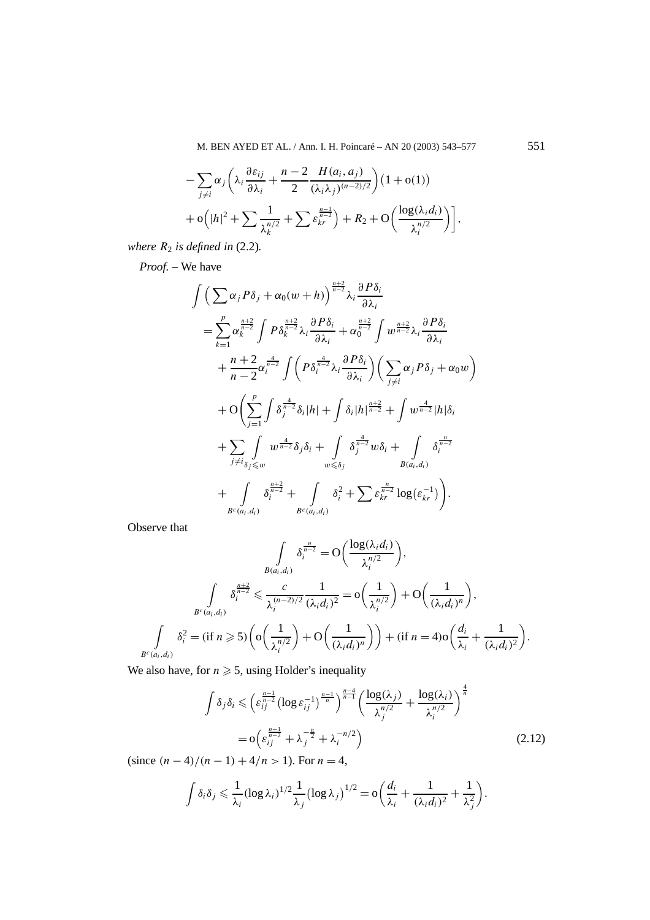$$
- \sum_{j \neq i} \alpha_j \left( \lambda_i \frac{\partial \varepsilon_{ij}}{\partial \lambda_i} + \frac{n-2}{2} \frac{H(a_i, a_j)}{(\lambda_i \lambda_j)^{(n-2)/2}} \right) (1 + o(1))
$$
  
+ 
$$
o\left( |h|^2 + \sum \frac{1}{\lambda_k^{n/2}} + \sum \varepsilon_{kr}^{\frac{n-1}{n-2}} \right) + R_2 + O\left( \frac{\log(\lambda_i d_i)}{\lambda_i^{n/2}} \right) \bigg],
$$

*where*  $R_2$  *is defined in* (2.2).

*Proof. –* We have

$$
\int \left(\sum \alpha_{j} P\delta_{j} + \alpha_{0}(w+h)\right)^{\frac{n+2}{n-2}} \lambda_{i} \frac{\partial P\delta_{i}}{\partial \lambda_{i}} \n= \sum_{k=1}^{p} \alpha_{k}^{\frac{n+2}{n-2}} \int P\delta_{k}^{\frac{n+2}{n-2}} \lambda_{i} \frac{\partial P\delta_{i}}{\partial \lambda_{i}} + \alpha_{0}^{\frac{n+2}{n-2}} \int w^{\frac{n+2}{n-2}} \lambda_{i} \frac{\partial P\delta_{i}}{\partial \lambda_{i}} \n+ \frac{n+2}{n-2} \alpha_{i}^{\frac{4}{n-2}} \int \left(P\delta_{i}^{\frac{4}{n-2}} \lambda_{i} \frac{\partial P\delta_{i}}{\partial \lambda_{i}}\right) \left(\sum_{j \neq i} \alpha_{j} P\delta_{j} + \alpha_{0} w\right) \n+ O\left(\sum_{j=1}^{p} \int \delta_{j}^{\frac{4}{n-2}} \delta_{i} |h| + \int \delta_{i} |h|^{\frac{n+2}{n-2}} + \int w^{\frac{4}{n-2}} |h| \delta_{i} \n+ \sum_{j \neq i} \int_{\delta_{j} \leq w} w^{\frac{4}{n-2}} \delta_{j} \delta_{i} + \int_{w \leq \delta_{j}} \delta_{j}^{\frac{4}{n-2}} w \delta_{i} + \int_{B(a_{i}, d_{i})} \delta_{i}^{\frac{n}{n-2}} \n+ \int_{B^{c}(a_{i}, d_{i})} \delta_{i}^{\frac{n+2}{n-2}} + \int_{B^{c}(a_{i}, d_{i})} \delta_{i}^{2} + \sum \varepsilon_{kr}^{\frac{n}{n-2}} \log(\varepsilon_{kr}^{-1}) \right).
$$

Observe that

$$
\int_{B(a_i,d_i)} \delta_i^{\frac{n}{n-2}} = O\left(\frac{\log(\lambda_i d_i)}{\lambda_i^{n/2}}\right),
$$
\n
$$
\int_{B^c(a_i,d_i)} \delta_i^{\frac{n+2}{n-2}} \leq \frac{c}{\lambda_i^{(n-2)/2}} \frac{1}{(\lambda_i d_i)^2} = o\left(\frac{1}{\lambda_i^{n/2}}\right) + O\left(\frac{1}{(\lambda_i d_i)^n}\right),
$$
\n
$$
\int_{B^c(a_i,d_i)} \delta_i^2 = (\text{if } n \geq 5) \left( o\left(\frac{1}{\lambda_i^{n/2}}\right) + O\left(\frac{1}{(\lambda_i d_i)^n}\right) \right) + (\text{if } n = 4) o\left(\frac{d_i}{\lambda_i} + \frac{1}{(\lambda_i d_i)^2}\right).
$$

We also have, for  $n \geq 5$ , using Holder's inequality

$$
\int \delta_j \delta_i \leqslant \left( \varepsilon_{ij}^{\frac{n-1}{n-2}} \left( \log \varepsilon_{ij}^{-1} \right)^{\frac{n-1}{n}} \right)^{\frac{n-4}{n-1}} \left( \frac{\log(\lambda_j)}{\lambda_j^{n/2}} + \frac{\log(\lambda_i)}{\lambda_i^{n/2}} \right)^{\frac{4}{n}}
$$

$$
= o \left( \varepsilon_{ij}^{\frac{n-1}{n-2}} + \lambda_j^{-\frac{n}{2}} + \lambda_i^{-n/2} \right)
$$

$$
= o \left( \varepsilon_{ij}^{\frac{n-1}{n-2}} + \lambda_j^{-\frac{n}{2}} + \lambda_i^{-n/2} \right)
$$
(2.12)

 $(since (n-4)/(n-1) + 4/n > 1)$ . For  $n = 4$ ,

$$
\int \delta_i \delta_j \leqslant \frac{1}{\lambda_i} (\log \lambda_i)^{1/2} \frac{1}{\lambda_j} (\log \lambda_j)^{1/2} = o\bigg(\frac{d_i}{\lambda_i} + \frac{1}{(\lambda_i d_i)^2} + \frac{1}{\lambda_j^2}\bigg).
$$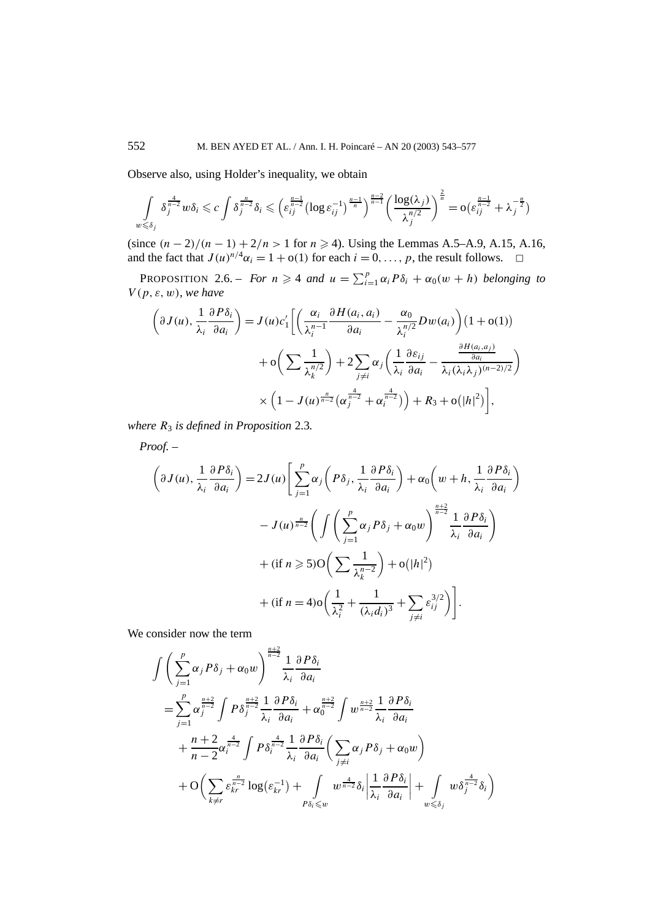Observe also, using Holder's inequality, we obtain

$$
\int_{w \leq \delta_j} \delta_j^{\frac{4}{n-2}} w \delta_i \leqslant c \int \delta_j^{\frac{n}{n-2}} \delta_i \leqslant \left( \varepsilon_{ij}^{\frac{n-1}{n-2}} (\log \varepsilon_{ij}^{-1})^{\frac{n-1}{n}} \right)^{\frac{n-2}{n-1}} \left( \frac{\log(\lambda_j)}{\lambda_j^{n/2}} \right)^{\frac{2}{n}} = o \left( \varepsilon_{ij}^{\frac{n-1}{n-2}} + \lambda_j^{-\frac{n}{2}} \right)
$$

(since  $(n-2)/(n-1) + 2/n > 1$  for  $n \ge 4$ ). Using the Lemmas A.5–A.9, A.15, A.16, and the fact that  $J(u)^{n/4}\alpha_i = 1 + o(1)$  for each  $i = 0, \ldots, p$ , the result follows.  $\Box$ 

PROPOSITION 2.6. – *For*  $n \geq 4$  *and*  $u = \sum_{i=1}^{p} \alpha_i P \delta_i + \alpha_0 (w + h)$  *belonging to V (p, ε, w), we have*

$$
\left(\partial J(u), \frac{1}{\lambda_i} \frac{\partial P \delta_i}{\partial a_i}\right) = J(u)c'_1 \left[ \left(\frac{\alpha_i}{\lambda_i^{n-1}} \frac{\partial H(a_i, a_i)}{\partial a_i} - \frac{\alpha_0}{\lambda_i^{n/2}} Dw(a_i) \right) (1 + o(1)) + o\left(\sum \frac{1}{\lambda_k^{n/2}}\right) + 2 \sum_{j \neq i} \alpha_j \left(\frac{1}{\lambda_i} \frac{\partial \varepsilon_{ij}}{\partial a_i} - \frac{\frac{\partial H(a_i, a_j)}{\partial a_i}}{\lambda_i (\lambda_i \lambda_j)^{(n-2)/2}}\right) + o\left(\sum_{j \neq i} \frac{1}{\lambda_k^{n/2}}\right) + o\left(\sum_{j \neq i} \frac{\alpha_j}{\lambda_j^{n-2}} + \alpha_i^{n-2}\right) + R_3 + o(|h|^2)\right],
$$

*where R*<sup>3</sup> *is defined in Proposition* 2.3*.*

*Proof. –*

$$
\left(\partial J(u), \frac{1}{\lambda_i} \frac{\partial P \delta_i}{\partial a_i}\right) = 2J(u) \left[ \sum_{j=1}^p \alpha_j \left( P \delta_j, \frac{1}{\lambda_i} \frac{\partial P \delta_i}{\partial a_i} \right) + \alpha_0 \left( w + h, \frac{1}{\lambda_i} \frac{\partial P \delta_i}{\partial a_i} \right) \right]
$$

$$
- J(u) \frac{\pi}{n-2} \left( \int \left( \sum_{j=1}^p \alpha_j P \delta_j + \alpha_0 w \right)^{\frac{n+2}{n-2}} \frac{1}{\lambda_i} \frac{\partial P \delta_i}{\partial a_i} \right)
$$

$$
+ (\text{if } n \ge 5) \text{O} \left( \sum \frac{1}{\lambda_k^{n-2}} \right) + \text{o}(|h|^2)
$$

$$
+ (\text{if } n = 4) \text{o} \left( \frac{1}{\lambda_i^2} + \frac{1}{(\lambda_i d_i)^3} + \sum_{j \ne i} \varepsilon_{ij}^{3/2} \right) \right].
$$

We consider now the term

$$
\int \left( \sum_{j=1}^{p} \alpha_{j} P \delta_{j} + \alpha_{0} w \right)^{\frac{n+2}{n-2}} \frac{1}{\lambda_{i}} \frac{\partial P \delta_{i}}{\partial a_{i}}
$$
\n
$$
= \sum_{j=1}^{p} \alpha_{j}^{\frac{n+2}{n-2}} \int P \delta_{j}^{\frac{n+2}{n-2}} \frac{1}{\lambda_{i}} \frac{\partial P \delta_{i}}{\partial a_{i}} + \alpha_{0}^{\frac{n+2}{n-2}} \int w^{\frac{n+2}{n-2}} \frac{1}{\lambda_{i}} \frac{\partial P \delta_{i}}{\partial a_{i}}
$$
\n
$$
+ \frac{n+2}{n-2} \alpha_{i}^{\frac{4}{n-2}} \int P \delta_{i}^{\frac{4}{n-2}} \frac{1}{\lambda_{i}} \frac{\partial P \delta_{i}}{\partial a_{i}} \left( \sum_{j \neq i} \alpha_{j} P \delta_{j} + \alpha_{0} w \right)
$$
\n
$$
+ O\left( \sum_{k \neq r} \varepsilon_{kr}^{\frac{n}{n-2}} \log(\varepsilon_{kr}^{-1}) + \int_{P \delta_{i} \leq w} w^{\frac{4}{n-2}} \delta_{i} \left| \frac{1}{\lambda_{i}} \frac{\partial P \delta_{i}}{\partial a_{i}} \right| + \int_{w \leq \delta_{j}} w \delta_{j}^{\frac{4}{n-2}} \delta_{i} \right)
$$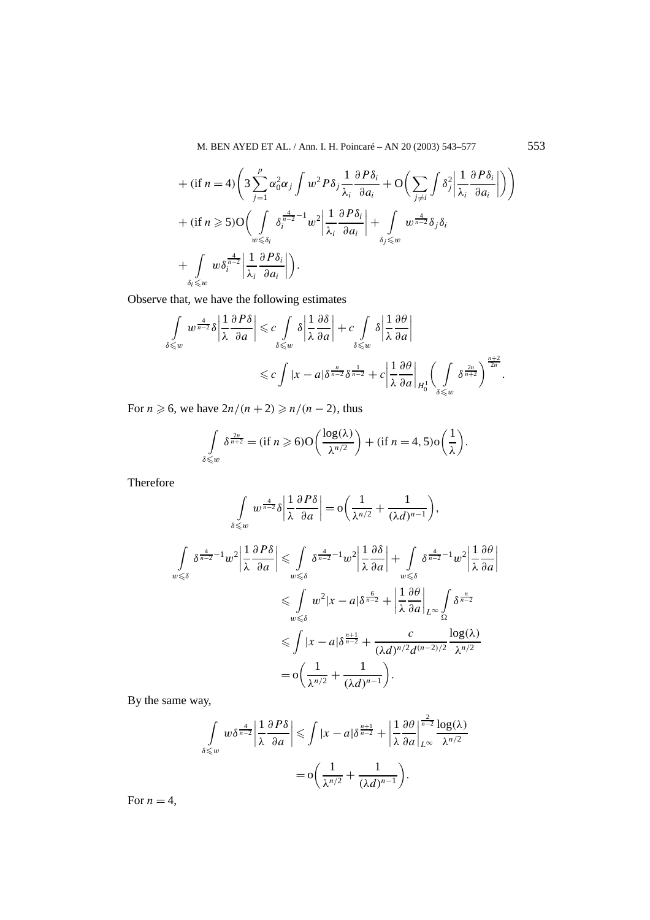M. BEN AYED ET AL. / Ann. I. H. Poincaré – AN 20 (2003) 543–577 553

+ (if 
$$
n = 4
$$
)  $\left(3 \sum_{j=1}^{p} \alpha_0^2 \alpha_j \int w^2 P \delta_j \frac{1}{\lambda_i} \frac{\partial P \delta_i}{\partial a_i} + O\left(\sum_{j \neq i} \int \delta_j^2 \left| \frac{1}{\lambda_i} \frac{\partial P \delta_i}{\partial a_i} \right|\right)\right)$   
+ (if  $n \ge 5$ ) $O\left(\int_{w \le \delta_i} \delta_i^{\frac{4}{n-2}-1} w^2 \left| \frac{1}{\lambda_i} \frac{\partial P \delta_i}{\partial a_i} \right| + \int_{\delta_j \le w} w^{\frac{4}{n-2}} \delta_j \delta_i$   
+  $\int_{\delta_i \le w} w \delta_i^{\frac{4}{n-2}} \left| \frac{1}{\lambda_i} \frac{\partial P \delta_i}{\partial a_i} \right| \right).$ 

Observe that, we have the following estimates

$$
\int_{\delta \leqslant w} w^{\frac{4}{n-2}} \delta \left| \frac{1}{\lambda} \frac{\partial P \delta}{\partial a} \right| \leqslant c \int_{\delta \leqslant w} \delta \left| \frac{1}{\lambda} \frac{\partial \delta}{\partial a} \right| + c \int_{\delta \leqslant w} \delta \left| \frac{1}{\lambda} \frac{\partial \theta}{\partial a} \right|
$$
  

$$
\leqslant c \int |x - a| \delta^{\frac{n}{n-2}} \delta^{\frac{1}{n-2}} + c \left| \frac{1}{\lambda} \frac{\partial \theta}{\partial a} \right|_{H_0^1} \left( \int_{\delta \leqslant w} \delta^{\frac{2n}{n+2}} \right)^{\frac{n+2}{2n}}.
$$

For  $n \ge 6$ , we have  $2n/(n+2) \ge n/(n-2)$ , thus

$$
\int\limits_{\delta \leqslant w} \delta^{\frac{2n}{n+2}} = (\text{if } n \geqslant 6) \mathcal{O}\left(\frac{\log(\lambda)}{\lambda^{n/2}}\right) + (\text{if } n = 4, 5) \mathcal{O}\left(\frac{1}{\lambda}\right).
$$

Therefore

$$
\int_{\delta \leqslant w} w^{\frac{4}{n-2}} \delta \left| \frac{1}{\lambda} \frac{\partial P \delta}{\partial a} \right| = o\left( \frac{1}{\lambda^{n/2}} + \frac{1}{(\lambda d)^{n-1}} \right),
$$
\n
$$
\int_{w \leqslant \delta} \delta^{\frac{4}{n-2} - 1} w^2 \left| \frac{1}{\lambda} \frac{\partial P \delta}{\partial a} \right| \leqslant \int_{w \leqslant \delta} \delta^{\frac{4}{n-2} - 1} w^2 \left| \frac{1}{\lambda} \frac{\partial \delta}{\partial a} \right| + \int_{w \leqslant \delta} \delta^{\frac{4}{n-2} - 1} w^2 \left| \frac{1}{\lambda} \frac{\partial \theta}{\partial a} \right|
$$
\n
$$
\leqslant \int_{w \leqslant \delta} w^2 |x - a| \delta^{\frac{6}{n-2}} + \left| \frac{1}{\lambda} \frac{\partial \theta}{\partial a} \right|_{L^{\infty}} \int_{\Omega} \delta^{\frac{n}{n-2}}
$$
\n
$$
\leqslant \int |x - a| \delta^{\frac{n+1}{n-2}} + \frac{c}{(\lambda d)^{n/2} d^{(n-2)/2}} \frac{\log(\lambda)}{\lambda^{n/2}}
$$
\n
$$
= o\left( \frac{1}{\lambda^{n/2}} + \frac{1}{(\lambda d)^{n-1}} \right).
$$

By the same way,

$$
\int_{\delta \leq w} w \delta^{\frac{4}{n-2}} \left| \frac{1}{\lambda} \frac{\partial P \delta}{\partial a} \right| \leqslant \int |x - a| \delta^{\frac{n+1}{n-2}} + \left| \frac{1}{\lambda} \frac{\partial \theta}{\partial a} \right|_{L^{\infty}}^{\frac{2}{n-2}} \frac{\log(\lambda)}{\lambda^{n/2}}
$$

$$
= o\left(\frac{1}{\lambda^{n/2}} + \frac{1}{(\lambda d)^{n-1}}\right).
$$

For  $n = 4$ ,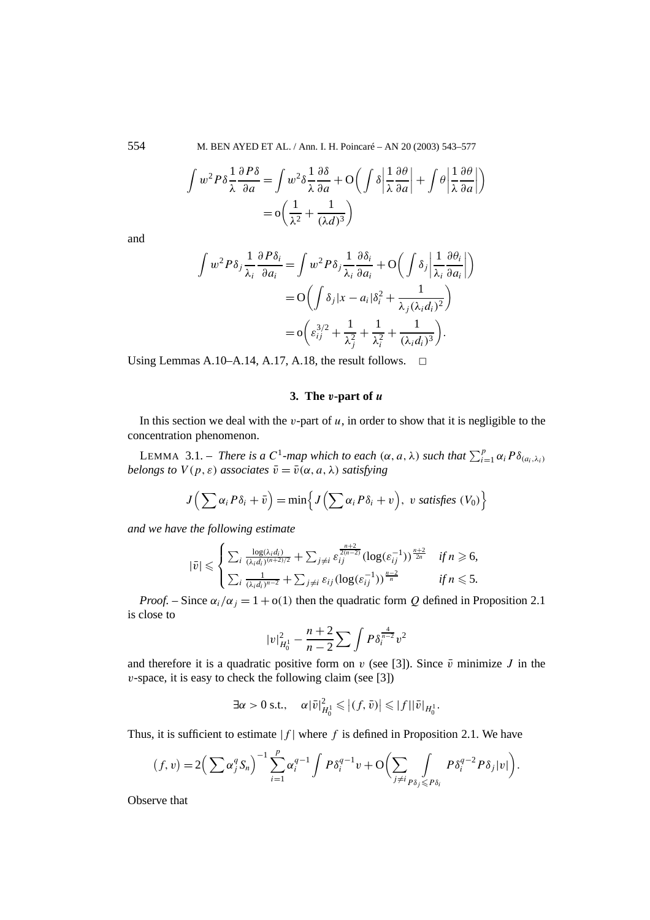554 M. BEN AYED ET AL. / Ann. I. H. Poincaré – AN 20 (2003) 543–577

$$
\int w^2 P \delta \frac{1}{\lambda} \frac{\partial P \delta}{\partial a} = \int w^2 \delta \frac{1}{\lambda} \frac{\partial \delta}{\partial a} + O\left(\int \delta \left| \frac{1}{\lambda} \frac{\partial \theta}{\partial a} \right| + \int \theta \left| \frac{1}{\lambda} \frac{\partial \theta}{\partial a} \right| \right)
$$

$$
= O\left(\frac{1}{\lambda^2} + \frac{1}{(\lambda d)^3}\right)
$$

and

$$
\int w^2 P \delta_j \frac{1}{\lambda_i} \frac{\partial P \delta_i}{\partial a_i} = \int w^2 P \delta_j \frac{1}{\lambda_i} \frac{\partial \delta_i}{\partial a_i} + O\left(\int \delta_j \left| \frac{1}{\lambda_i} \frac{\partial \theta_i}{\partial a_i} \right| \right)
$$

$$
= O\left(\int \delta_j |x - a_i| \delta_i^2 + \frac{1}{\lambda_j (\lambda_i d_i)^2} \right)
$$

$$
= o\left(\varepsilon_{ij}^{3/2} + \frac{1}{\lambda_j^2} + \frac{1}{\lambda_i^2} + \frac{1}{(\lambda_i d_i)^3} \right).
$$

Using Lemmas A.10–A.14, A.17, A.18, the result follows.  $\Box$ 

## **3. The** *v***-part of** *u*

In this section we deal with the  $v$ -part of  $u$ , in order to show that it is negligible to the concentration phenomenon.

LEMMA 3.1. – *There is a*  $C^1$ -map which to each  $(\alpha, a, \lambda)$  such that  $\sum_{i=1}^p \alpha_i P \delta_{(a_i, \lambda_i)}$ *belongs to*  $V(p, \varepsilon)$  *associates*  $\overline{v} = \overline{v}(\alpha, a, \lambda)$  *satisfying* 

$$
J\left(\sum \alpha_i P\delta_i + \bar{v}\right) = \min\left\{J\left(\sum \alpha_i P\delta_i + v\right), \ v \ satisfies \ (V_0)\right\}
$$

*and we have the following estimate*

$$
|\bar{v}| \leq \begin{cases} \sum_{i} \frac{\log(\lambda_i d_i)}{(\lambda_i d_i)^{(n+2)/2}} + \sum_{j \neq i} \varepsilon_{ij}^{\frac{n+2}{2(n-2)}} (\log(\varepsilon_{ij}^{-1}))^{\frac{n+2}{2n}} & \text{if } n \geq 6, \\ \sum_{i} \frac{1}{(\lambda_i d_i)^{n-2}} + \sum_{j \neq i} \varepsilon_{ij} (\log(\varepsilon_{ij}^{-1}))^{\frac{n-2}{n}} & \text{if } n \leq 5. \end{cases}
$$

*Proof.* – Since  $\alpha_i/\alpha_j = 1 + o(1)$  then the quadratic form Q defined in Proposition 2.1 is close to

$$
|v|_{H_0^1}^2 - \frac{n+2}{n-2} \sum \int P \delta_i^{\frac{4}{n-2}} v^2
$$

and therefore it is a quadratic positive form on *v* (see [3]). Since  $\bar{v}$  minimize *J* in the *v*-space, it is easy to check the following claim (see [3])

$$
\exists \alpha > 0 \text{ s.t., } \alpha |\bar{v}|^2_{H_0^1} \leqslant |(f, \bar{v})| \leqslant |f| |\bar{v}|_{H_0^1}.
$$

Thus, it is sufficient to estimate  $|f|$  where f is defined in Proposition 2.1. We have

$$
(f, v) = 2\Big(\sum \alpha_j^q S_n\Big)^{-1} \sum_{i=1}^p \alpha_i^{q-1} \int P \delta_i^{q-1} v + \mathcal{O}\Big(\sum_{j \neq i} \int_{P \delta_j \leq P \delta_i} P \delta_i^{q-2} P \delta_j |v|\Big).
$$

Observe that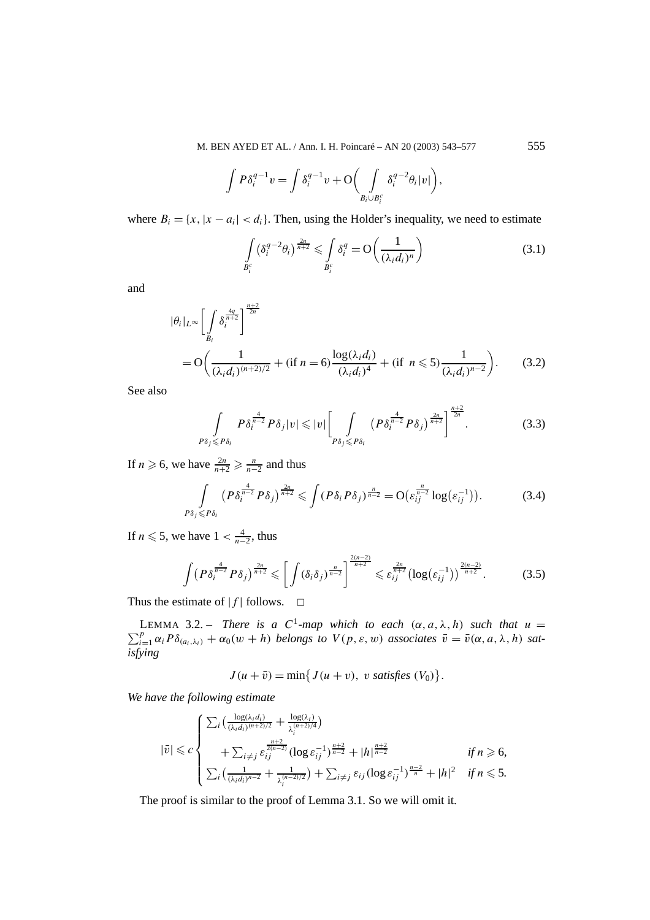M. BEN AYED ET AL. / Ann. I. H. Poincaré – AN 20 (2003) 543–577 555

$$
\int P\delta_i^{q-1}v = \int \delta_i^{q-1}v + \mathcal{O}\bigg(\int\limits_{B_i\cup B_i^c} \delta_i^{q-2}\theta_i|v|\bigg),\,
$$

where  $B_i = \{x, |x - a_i| < d_i\}$ . Then, using the Holder's inequality, we need to estimate

$$
\int_{B_i^c} \left(\delta_i^{q-2}\theta_i\right)^{\frac{2n}{n+2}} \leqslant \int_{B_i^c} \delta_i^q = \mathcal{O}\left(\frac{1}{\left(\lambda_i d_i\right)^n}\right) \tag{3.1}
$$

and

$$
|\theta_i|_{L^{\infty}} \left[ \int_{B_i} \delta_i^{\frac{4q}{n+2}} \right]^{\frac{n+2}{2n}} = O\left( \frac{1}{(\lambda_i d_i)^{(n+2)/2}} + (\text{if } n = 6 \right) \frac{\log(\lambda_i d_i)}{(\lambda_i d_i)^4} + (\text{if } n \leq 5 \right) \frac{1}{(\lambda_i d_i)^{n-2}} \right). \tag{3.2}
$$

See also

$$
\int_{P\delta_j\leq P\delta_i} P\delta_i^{\frac{4}{n-2}} P\delta_j |v| \leqslant |v| \left[ \int_{P\delta_j\leq P\delta_i} \left( P\delta_i^{\frac{4}{n-2}} P\delta_j \right)^{\frac{2n}{n+2}} \right]^{\frac{n+2}{2n}}.
$$
 (3.3)

If *n*  $\geqslant$  6, we have  $\frac{2n}{n+2} \geqslant \frac{n}{n-2}$  and thus

$$
\int_{P\delta_j \leq P\delta_i} \left( P \delta_i^{\frac{4}{n-2}} P \delta_j \right)^{\frac{2n}{n+2}} \leq \int \left( P \delta_i P \delta_j \right)^{\frac{n}{n-2}} = \mathcal{O} \left( \varepsilon_{ij}^{\frac{n}{n-2}} \log \left( \varepsilon_{ij}^{-1} \right) \right). \tag{3.4}
$$

If  $n \leq 5$ , we have  $1 < \frac{4}{n-2}$ , thus

$$
\int (P\delta_i^{\frac{4}{n-2}} P\delta_j)^{\frac{2n}{n+2}} \leqslant \left[ \int (\delta_i \delta_j)^{\frac{n}{n-2}} \right]^{\frac{2(n-2)}{n+2}} \leqslant \varepsilon_{ij}^{\frac{2n}{n+2}} (\log(\varepsilon_{ij}^{-1}))^{\frac{2(n-2)}{n+2}}.
$$
 (3.5)

Thus the estimate of  $|f|$  follows.  $\Box$ 

LEMMA 3.2. – *There is a*  $C^1$ -map which to each  $(\alpha, a, \lambda, h)$  such that  $u =$  $\sum_{i=1}^{p} \alpha_i P \delta_{(a_i,\lambda_i)} + \alpha_0(w+h)$  *belongs to*  $V(p,\varepsilon,w)$  *associates*  $\bar{v} = \bar{v}(\alpha, a, \lambda, h)$  *satisfying*

 $J(u + \bar{v}) = \min\{J(u + v), v \text{ satisfies } (V_0)\}.$ 

*We have the following estimate*

$$
|\bar{v}| \leqslant c \begin{cases} \sum_{i} \left( \frac{\log(\lambda_{i} d_{i})}{(\lambda_{i} d_{i})^{(n+2)/2}} + \frac{\log(\lambda_{i})}{\lambda_{i}^{(n+2)/4}} \right) \\ + \sum_{i \neq j} \varepsilon_{ij}^{\frac{n+2}{2(n-2)}} (\log \varepsilon_{ij}^{-1})^{\frac{n+2}{n-2}} + |h|^{\frac{n+2}{n-2}} \\ \sum_{i} \left( \frac{1}{(\lambda_{i} d_{i})^{n-2}} + \frac{1}{\lambda_{i}^{(n-2)/2}} \right) + \sum_{i \neq j} \varepsilon_{ij} (\log \varepsilon_{ij}^{-1})^{\frac{n-2}{n}} + |h|^2 \quad \text{if } n \leq 5. \end{cases}
$$

The proof is similar to the proof of Lemma 3.1. So we will omit it.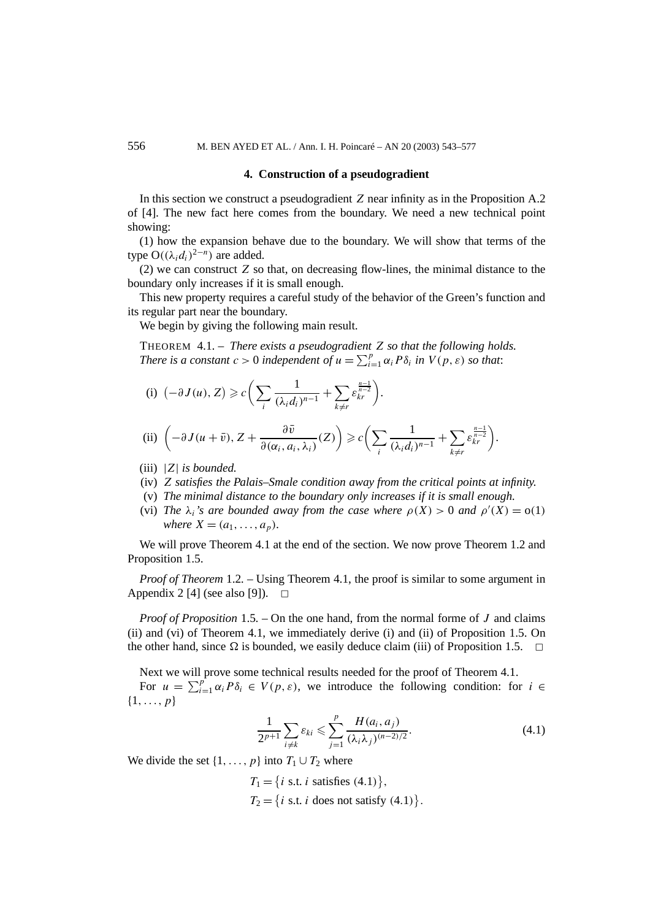#### **4. Construction of a pseudogradient**

In this section we construct a pseudogradient *Z* near infinity as in the Proposition A.2 of [4]. The new fact here comes from the boundary. We need a new technical point showing:

(1) how the expansion behave due to the boundary. We will show that terms of the type  $O((\lambda_i d_i)^{2-n})$  are added.

(2) we can construct *Z* so that, on decreasing flow-lines, the minimal distance to the boundary only increases if it is small enough.

This new property requires a careful study of the behavior of the Green's function and its regular part near the boundary.

We begin by giving the following main result.

THEOREM 4.1. – *There exists a pseudogradient Z so that the following holds. There is a constant*  $c > 0$  *independent of*  $u = \sum_{i=1}^{p} \alpha_i P \delta_i$  *in*  $V(p, \varepsilon)$  *so that*:

(i) 
$$
(-\partial J(u), Z) \geq c \bigg( \sum_{i} \frac{1}{(\lambda_i d_i)^{n-1}} + \sum_{k \neq r} \varepsilon_{kr}^{\frac{n-1}{n-2}} \bigg).
$$

(ii) 
$$
\left(-\partial J(u+\bar{v}), Z+\frac{\partial \bar{v}}{\partial(\alpha_i, a_i, \lambda_i)}(Z)\right) \geq c \left(\sum_i \frac{1}{(\lambda_i d_i)^{n-1}} + \sum_{k \neq r} \varepsilon_{kr}^{\frac{n-1}{n-2}}\right).
$$

- (iii) |*Z*| *is bounded.*
- (iv) *Z satisfies the Palais–Smale condition away from the critical points at infinity.*
- (v) *The minimal distance to the boundary only increases if it is small enough.*
- (vi) *The*  $\lambda_i$ 's are bounded away from the case where  $\rho(X) > 0$  and  $\rho'(X) = o(1)$ *where*  $X = (a_1, \ldots, a_p)$ *.*

We will prove Theorem 4.1 at the end of the section. We now prove Theorem 1.2 and Proposition 1.5.

*Proof of Theorem* 1.2. – Using Theorem 4.1, the proof is similar to some argument in Appendix 2 [4] (see also [9]).  $\Box$ 

*Proof of Proposition* 1.5*. –* On the one hand, from the normal forme of *J* and claims (ii) and (vi) of Theorem 4.1, we immediately derive (i) and (ii) of Proposition 1.5. On the other hand, since  $\Omega$  is bounded, we easily deduce claim (iii) of Proposition 1.5.  $\Box$ 

Next we will prove some technical results needed for the proof of Theorem 4.1.

For  $u = \sum_{i=1}^{p} \alpha_i P \delta_i \in V(p, \varepsilon)$ , we introduce the following condition: for  $i \in$ {1*,...,p*}

$$
\frac{1}{2^{p+1}} \sum_{i \neq k} \varepsilon_{ki} \leq \sum_{j=1}^{p} \frac{H(a_i, a_j)}{(\lambda_i \lambda_j)^{(n-2)/2}}.
$$
 (4.1)

We divide the set  $\{1, \ldots, p\}$  into  $T_1 \cup T_2$  where

 $T_1 = \{i \text{ s.t. } i \text{ satisfies } (4.1)\},\$  $T_2 = \{i \text{ s.t. } i \text{ does not satisfy (4.1)}\}.$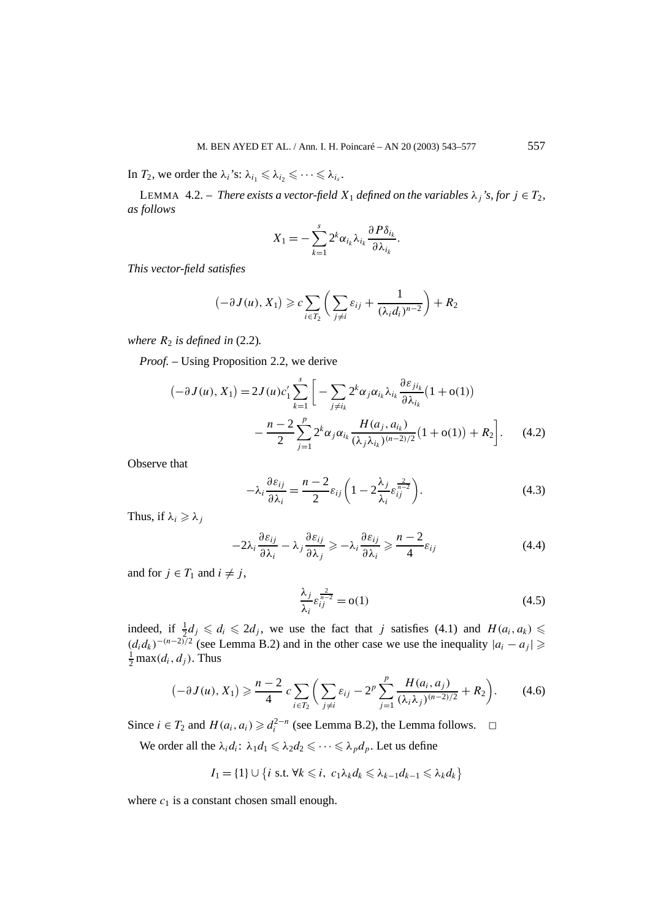In *T*<sub>2</sub>, we order the  $\lambda_i$ 's:  $\lambda_{i_1} \leq \lambda_{i_2} \leq \cdots \leq \lambda_{i_s}$ .

LEMMA 4.2. – *There exists a vector-field*  $X_1$  *defined on the variables*  $\lambda_i$ *'s, for*  $j \in T_2$ *, as follows*

$$
X_1 = -\sum_{k=1}^s 2^k \alpha_{i_k} \lambda_{i_k} \frac{\partial P \delta_{i_k}}{\partial \lambda_{i_k}}
$$

*This vector-field satisfies*

$$
(-\partial J(u), X_1) \geqslant c \sum_{i \in T_2} \left( \sum_{j \neq i} \varepsilon_{ij} + \frac{1}{(\lambda_i d_i)^{n-2}} \right) + R_2
$$

*where*  $R_2$  *is defined in* (2.2).

*Proof. –* Using Proposition 2.2, we derive

$$
\begin{aligned} \left( -\partial J(u), X_1 \right) &= 2J(u)c_1' \sum_{k=1}^s \left[ -\sum_{j \neq i_k} 2^k \alpha_j \alpha_{i_k} \lambda_{i_k} \frac{\partial \varepsilon_{j i_k}}{\partial \lambda_{i_k}} (1 + \mathbf{o}(1)) - \frac{n-2}{2} \sum_{j=1}^p 2^k \alpha_j \alpha_{i_k} \frac{H(a_j, a_{i_k})}{(\lambda_j \lambda_{i_k})^{(n-2)/2}} (1 + \mathbf{o}(1)) + R_2 \right]. \end{aligned} \tag{4.2}
$$

Observe that

$$
-\lambda_i \frac{\partial \varepsilon_{ij}}{\partial \lambda_i} = \frac{n-2}{2} \varepsilon_{ij} \left( 1 - 2 \frac{\lambda_j}{\lambda_i} \varepsilon_{ij}^{\frac{2}{n-2}} \right).
$$
 (4.3)

*.*

Thus, if  $\lambda_i \geq \lambda_j$ 

$$
-2\lambda_i \frac{\partial \varepsilon_{ij}}{\partial \lambda_i} - \lambda_j \frac{\partial \varepsilon_{ij}}{\partial \lambda_j} \geqslant -\lambda_i \frac{\partial \varepsilon_{ij}}{\partial \lambda_i} \geqslant \frac{n-2}{4} \varepsilon_{ij}
$$
(4.4)

and for  $j \in T_1$  and  $i \neq j$ ,

$$
\frac{\lambda_j}{\lambda_i} \varepsilon_{ij}^{\frac{2}{n-2}} = o(1) \tag{4.5}
$$

indeed, if  $\frac{1}{2}d_j \leq d_i \leq 2d_j$ , we use the fact that *j* satisfies (4.1) and  $H(a_i, a_k) \leq$  $(d_i d_k)^{-(n-2)/2}$  (see Lemma B.2) and in the other case we use the inequality  $|a_i - a_j|$  ≥  $\frac{1}{2}$  max $(d_i, d_j)$ . Thus

$$
(-\partial J(u), X_1) \geq \frac{n-2}{4} c \sum_{i \in T_2} \left( \sum_{j \neq i} \varepsilon_{ij} - 2^p \sum_{j=1}^p \frac{H(a_i, a_j)}{(\lambda_i \lambda_j)^{(n-2)/2}} + R_2 \right). \tag{4.6}
$$

Since *i* ∈ *T*<sub>2</sub> and *H*( $a_i$ ,  $a_i$ )  $\ge d_i^{2-n}$  (see Lemma B.2), the Lemma follows.  $\Box$ 

We order all the  $\lambda_i d_i$ :  $\lambda_1 d_1 \leq \lambda_2 d_2 \leq \cdots \leq \lambda_p d_p$ . Let us define

$$
I_1 = \{1\} \cup \{i \text{ s.t. } \forall k \leq i, \ c_1 \lambda_k d_k \leq \lambda_{k-1} d_{k-1} \leq \lambda_k d_k\}
$$

where  $c_1$  is a constant chosen small enough.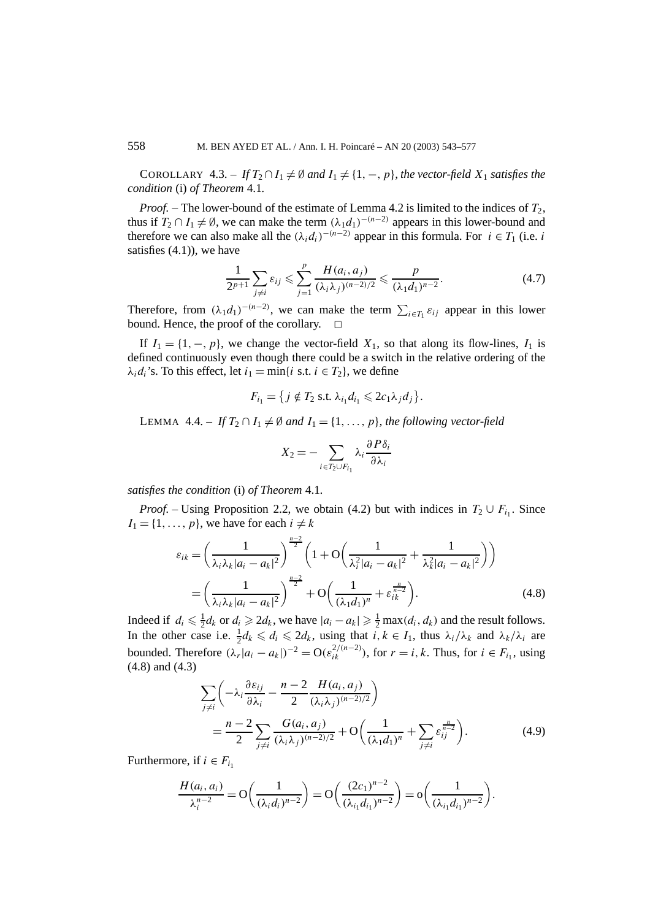COROLLARY 4.3. – *If*  $T_2 \cap I_1 \neq \emptyset$  and  $I_1 \neq \{1, -1, p\}$ , the vector-field  $X_1$  satisfies the *condition* (i) *of Theorem* 4.1*.*

*Proof.* – The lower-bound of the estimate of Lemma 4.2 is limited to the indices of  $T_2$ , thus if  $T_2 \cap I_1 \neq \emptyset$ , we can make the term  $(\lambda_1 d_1)^{-(n-2)}$  appears in this lower-bound and therefore we can also make all the  $(\lambda_i d_i)^{-(n-2)}$  appear in this formula. For  $i \in T_1$  (i.e. *i* satisfies  $(4.1)$ , we have

$$
\frac{1}{2^{p+1}}\sum_{j\neq i}\varepsilon_{ij}\leq \sum_{j=1}^p\frac{H(a_i,a_j)}{(\lambda_i\lambda_j)^{(n-2)/2}}\leq \frac{p}{(\lambda_1d_1)^{n-2}}.\tag{4.7}
$$

Therefore, from  $(\lambda_1 d_1)^{-(n-2)}$ , we can make the term  $\sum_{i \in T_1} \varepsilon_{ij}$  appear in this lower bound. Hence, the proof of the corollary.  $\Box$ 

If  $I_1 = \{1, -1, p\}$ , we change the vector-field  $X_1$ , so that along its flow-lines,  $I_1$  is defined continuously even though there could be a switch in the relative ordering of the  $\lambda_i d_i$ 's. To this effect, let  $i_1 = \min\{i \text{ s.t. } i \in T_2\}$ , we define

$$
F_{i_1} = \{ j \notin T_2 \text{ s.t. } \lambda_{i_1} d_{i_1} \leqslant 2c_1 \lambda_j d_j \}.
$$

LEMMA 4.4. – If  $T_2 \cap I_1 \neq \emptyset$  and  $I_1 = \{1, \ldots, p\}$ , the following vector-field

$$
X_2 = -\sum_{i \in T_2 \cup F_{i_1}} \lambda_i \frac{\partial P \delta_i}{\partial \lambda_i}
$$

*satisfies the condition* (i) *of Theorem* 4.1*.*

*Proof.* – Using Proposition 2.2, we obtain (4.2) but with indices in  $T_2 \cup F_{i_1}$ . Since  $I_1 = \{1, \ldots, p\}$ , we have for each  $i \neq k$ 

$$
\varepsilon_{ik} = \left(\frac{1}{\lambda_i \lambda_k |a_i - a_k|^2}\right)^{\frac{n-2}{2}} \left(1 + \mathcal{O}\left(\frac{1}{\lambda_i^2 |a_i - a_k|^2} + \frac{1}{\lambda_k^2 |a_i - a_k|^2}\right)\right)
$$

$$
= \left(\frac{1}{\lambda_i \lambda_k |a_i - a_k|^2}\right)^{\frac{n-2}{2}} + \mathcal{O}\left(\frac{1}{(\lambda_1 d_1)^n} + \varepsilon_{ik}^{\frac{n}{n-2}}\right). \tag{4.8}
$$

Indeed if  $d_i \le \frac{1}{2}d_k$  or  $d_i \ge 2d_k$ , we have  $|a_i - a_k| \ge \frac{1}{2} \max(d_i, d_k)$  and the result follows. In the other case i.e.  $\frac{1}{2}d_k \leq d_i \leq 2d_k$ , using that  $i, k \in I_1$ , thus  $\lambda_i/\lambda_k$  and  $\lambda_k/\lambda_i$  are bounded. Therefore  $(\lambda_r | a_i - a_k|)^{-2} = O(\varepsilon_{ik}^{2/(n-2)})$ , for  $r = i, k$ . Thus, for  $i \in F_{i_1}$ , using (4.8) and (4.3)

$$
\sum_{j\neq i} \left( -\lambda_i \frac{\partial \varepsilon_{ij}}{\partial \lambda_i} - \frac{n-2}{2} \frac{H(a_i, a_j)}{(\lambda_i \lambda_j)^{(n-2)/2}} \right)
$$
  
= 
$$
\frac{n-2}{2} \sum_{j\neq i} \frac{G(a_i, a_j)}{(\lambda_i \lambda_j)^{(n-2)/2}} + O\left( \frac{1}{(\lambda_1 d_1)^n} + \sum_{j\neq i} \varepsilon_{ij}^{\frac{n}{n-2}} \right).
$$
 (4.9)

Furthermore, if  $i \in F_{i_1}$ 

$$
\frac{H(a_i, a_i)}{\lambda_i^{n-2}} = O\left(\frac{1}{(\lambda_i d_i)^{n-2}}\right) = O\left(\frac{(2c_1)^{n-2}}{(\lambda_{i_1} d_{i_1})^{n-2}}\right) = o\left(\frac{1}{(\lambda_{i_1} d_{i_1})^{n-2}}\right).
$$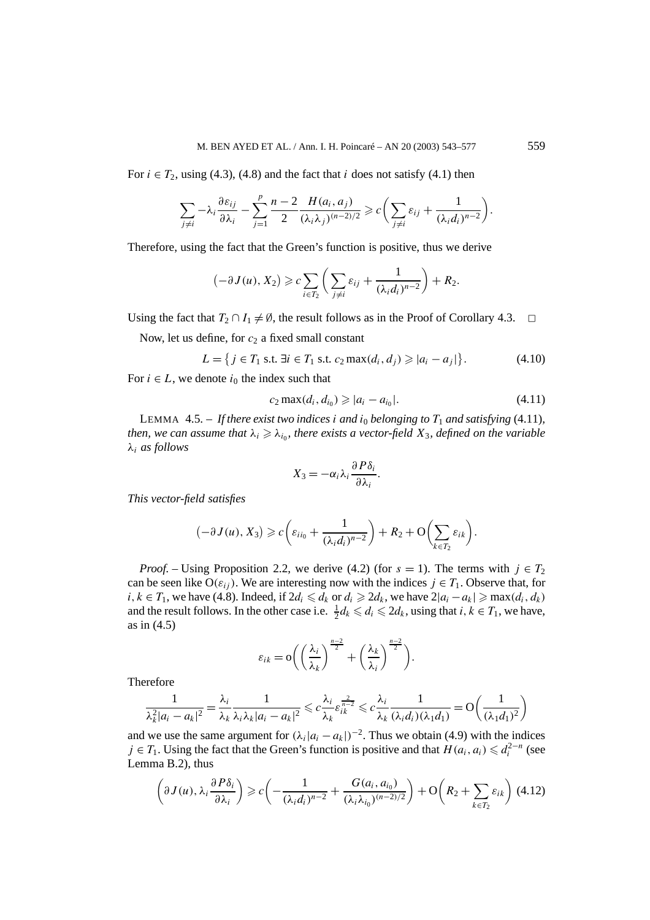For  $i \in T_2$ , using (4.3), (4.8) and the fact that  $i$  does not satisfy (4.1) then

$$
\sum_{j\neq i}-\lambda_i\frac{\partial\varepsilon_{ij}}{\partial\lambda_i}-\sum_{j=1}^p\frac{n-2}{2}\frac{H(a_i,a_j)}{(\lambda_i\lambda_j)^{(n-2)/2}}\geqslant c\bigg(\sum_{j\neq i}\varepsilon_{ij}+\frac{1}{(\lambda_id_i)^{n-2}}\bigg).
$$

Therefore, using the fact that the Green's function is positive, thus we derive

$$
(-\partial J(u), X_2) \geqslant c \sum_{i \in T_2} \left( \sum_{j \neq i} \varepsilon_{ij} + \frac{1}{(\lambda_i d_i)^{n-2}} \right) + R_2.
$$

Using the fact that  $T_2 \cap I_1 \neq \emptyset$ , the result follows as in the Proof of Corollary 4.3.  $\Box$ 

Now, let us define, for  $c_2$  a fixed small constant

$$
L = \{ j \in T_1 \text{ s.t. } \exists i \in T_1 \text{ s.t. } c_2 \max(d_i, d_j) \geq |a_i - a_j| \}. \tag{4.10}
$$

For  $i \in L$ , we denote  $i_0$  the index such that

$$
c_2 \max(d_i, d_{i_0}) \geqslant |a_i - a_{i_0}|. \tag{4.11}
$$

LEMMA 4.5. – If there exist two indices *i* and  $i_0$  belonging to  $T_1$  and satisfying (4.11), *then, we can assume that*  $\lambda_i \geq \lambda_{i_0}$ *, there exists a vector-field*  $X_3$ *, defined on the variable λi as follows*

$$
X_3=-\alpha_i\lambda_i\frac{\partial P\delta_i}{\partial\lambda_i}.
$$

*This vector-field satisfies*

$$
(-\partial J(u), X_3) \geqslant c \left( \varepsilon_{ii_0} + \frac{1}{(\lambda_i d_i)^{n-2}} \right) + R_2 + O \left( \sum_{k \in T_2} \varepsilon_{ik} \right).
$$

*Proof.* – Using Proposition 2.2, we derive (4.2) (for  $s = 1$ ). The terms with  $j \in T_2$ can be seen like  $O(\varepsilon_{ij})$ . We are interesting now with the indices  $j \in T_1$ . Observe that, for *i*, *k* ∈ *T*<sub>1</sub>, we have (4.8). Indeed, if  $2d_i \le d_k$  or  $d_i \ge 2d_k$ , we have  $2|a_i - a_k| \ge \max(d_i, d_k)$ and the result follows. In the other case i.e.  $\frac{1}{2}d_k \leq d_i \leq 2d_k$ , using that  $i, k \in T_1$ , we have, as in (4.5)

$$
\varepsilon_{ik} = \mathcal{O}\bigg(\bigg(\frac{\lambda_i}{\lambda_k}\bigg)^{\frac{n-2}{2}} + \bigg(\frac{\lambda_k}{\lambda_i}\bigg)^{\frac{n-2}{2}}\bigg).
$$

Therefore

$$
\frac{1}{\lambda_k^2 |a_i - a_k|^2} = \frac{\lambda_i}{\lambda_k} \frac{1}{\lambda_i \lambda_k |a_i - a_k|^2} \leqslant c \frac{\lambda_i}{\lambda_k} \varepsilon_{ik}^{\frac{2}{n-2}} \leqslant c \frac{\lambda_i}{\lambda_k} \frac{1}{(\lambda_i d_i)(\lambda_1 d_1)} = O\left(\frac{1}{(\lambda_1 d_1)^2}\right)
$$

and we use the same argument for  $(\lambda_i | a_i - a_k|)^{-2}$ . Thus we obtain (4.9) with the indices *j* ∈ *T*<sub>1</sub>. Using the fact that the Green's function is positive and that  $H(a_i, a_i)$  ≤  $d_i^{2-n}$  (see Lemma B.2), thus

$$
\left(\partial J(u), \lambda_i \frac{\partial P\delta_i}{\partial \lambda_i}\right) \geq c \left( -\frac{1}{(\lambda_i d_i)^{n-2}} + \frac{G(a_i, a_{i_0})}{(\lambda_i \lambda_{i_0})^{(n-2)/2}} \right) + \mathcal{O}\left(R_2 + \sum_{k \in T_2} \varepsilon_{ik}\right)
$$
(4.12)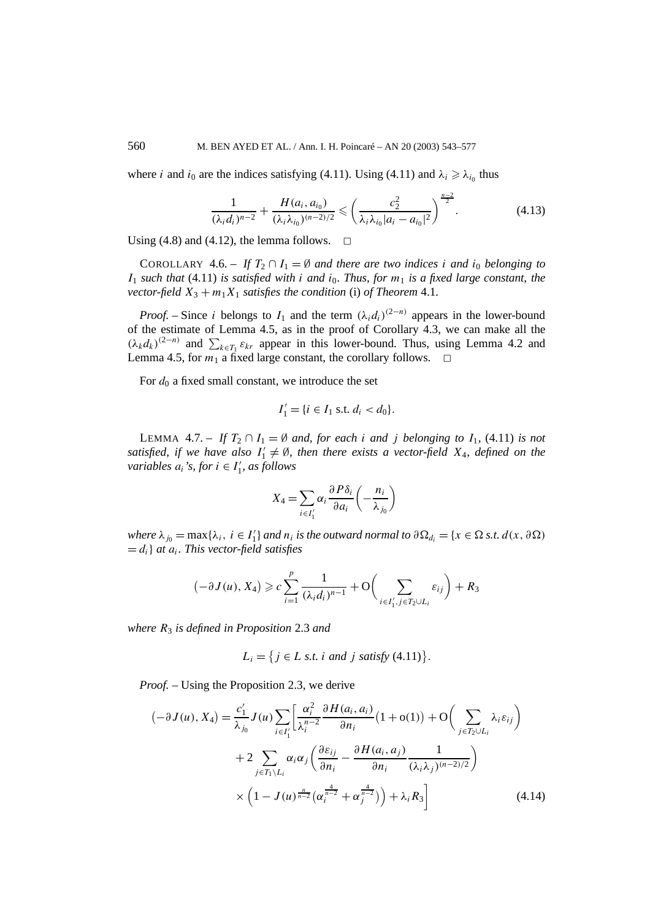where *i* and  $i_0$  are the indices satisfying (4.11). Using (4.11) and  $\lambda_i \geq \lambda_{i_0}$  thus

$$
\frac{1}{(\lambda_i d_i)^{n-2}} + \frac{H(a_i, a_{i_0})}{(\lambda_i \lambda_{i_0})^{(n-2)/2}} \leqslant \left(\frac{c_2^2}{\lambda_i \lambda_{i_0} |a_i - a_{i_0}|^2}\right)^{\frac{n-2}{2}}.
$$
\n(4.13)

Using (4.8) and (4.12), the lemma follows.  $\Box$ 

COROLLARY 4.6. – *If*  $T_2 \cap I_1 = \emptyset$  *and there are two indices i and*  $i_0$  *belonging to*  $I_1$  *such that* (4.11) *is satisfied with <i>i and i*<sub>0</sub>*. Thus, for*  $m_1$  *is a fixed large constant, the vector-field*  $X_3 + m_1 X_1$  *satisfies the condition* (i) *of Theorem* 4.1*.* 

*Proof.* – Since *i* belongs to  $I_1$  and the term  $(\lambda_i d_i)^{(2-n)}$  appears in the lower-bound of the estimate of Lemma 4.5, as in the proof of Corollary 4.3, we can make all the  $(\lambda_k d_k)^{(2-n)}$  and  $\sum_{k \in T_1} \varepsilon_{kr}$  appear in this lower-bound. Thus, using Lemma 4.2 and Lemma 4.5, for  $m_1$  a fixed large constant, the corollary follows.  $\Box$ 

For  $d_0$  a fixed small constant, we introduce the set

$$
I_1' = \{ i \in I_1 \text{ s.t. } d_i < d_0 \}.
$$

LEMMA 4.7. – If  $T_2 \cap I_1 = \emptyset$  and, for each *i* and *j* belonging to  $I_1$ , (4.11) is not satisfied, if we have also  $I'_1 \neq \emptyset$ , then there exists a vector-field  $X_4$ , defined on the *variables*  $a_i$ 's, for  $i \in I'_1$ , as follows

$$
X_4 = \sum_{i \in I'_1} \alpha_i \frac{\partial P \delta_i}{\partial a_i} \left( -\frac{n_i}{\lambda_{j_0}} \right)
$$

*where*  $\lambda_{j_0} = \max{\lambda_i, i \in I'_1}$  *and*  $n_i$  *is the outward normal to*  $\partial \Omega_{d_i} = \{x \in \Omega \text{ s.t. } d(x, \partial \Omega)\}$  $= d_i$  *at*  $a_i$ *. This vector-field satisfies* 

$$
(-\partial J(u), X_4) \geqslant c \sum_{i=1}^p \frac{1}{(\lambda_i d_i)^{n-1}} + \mathcal{O}\left(\sum_{i \in I'_1, j \in T_2 \cup L_i} \varepsilon_{ij}\right) + R_3
$$

*where R*<sup>3</sup> *is defined in Proposition* 2.3 *and*

$$
L_i = \{ j \in L \text{ s.t. } i \text{ and } j \text{ satisfy (4.11)} \}.
$$

*Proof. –* Using the Proposition 2.3, we derive

$$
\left(-\partial J(u), X_4\right) = \frac{c'_1}{\lambda_{j_0}} J(u) \sum_{i \in I'_1} \left[\frac{\alpha_i^2}{\lambda_i^{n-2}} \frac{\partial H(a_i, a_i)}{\partial n_i} \left(1 + o(1)\right) + \mathcal{O}\left(\sum_{j \in T_2 \cup L_i} \lambda_i \varepsilon_{ij}\right) + 2 \sum_{j \in T_1 \setminus L_i} \alpha_i \alpha_j \left(\frac{\partial \varepsilon_{ij}}{\partial n_i} - \frac{\partial H(a_i, a_j)}{\partial n_i} \frac{1}{(\lambda_i \lambda_j)^{(n-2)/2}}\right) \times \left(1 - J(u)^{\frac{n}{n-2}} \left(\alpha_i^{\frac{4}{n-2}} + \alpha_j^{\frac{4}{n-2}}\right)\right) + \lambda_i R_3\right]
$$
(4.14)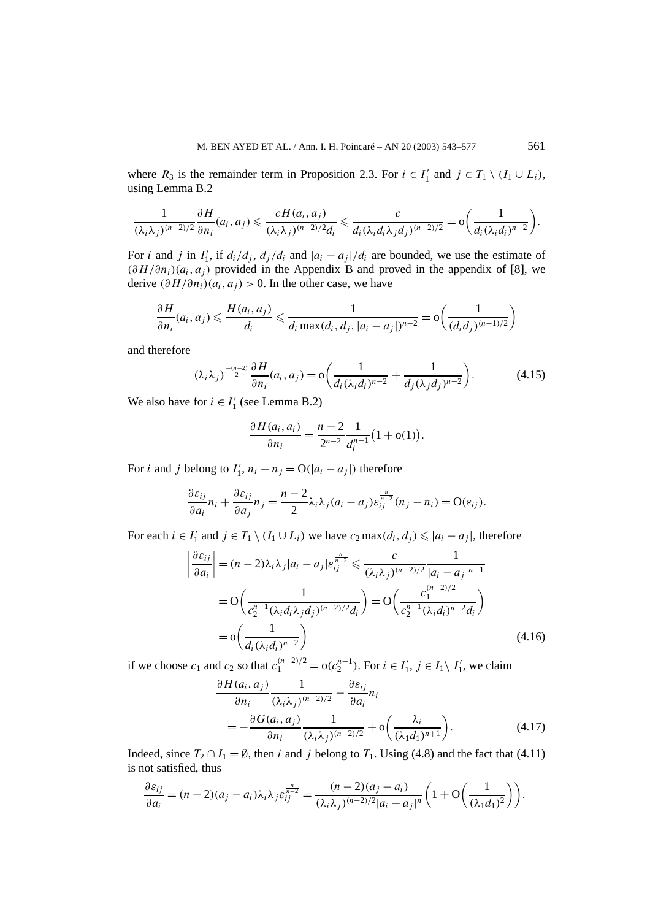where  $R_3$  is the remainder term in Proposition 2.3. For  $i \in I'_1$  and  $j \in T_1 \setminus (I_1 \cup L_i)$ , using Lemma B.2

$$
\frac{1}{(\lambda_i\lambda_j)^{(n-2)/2}}\frac{\partial H}{\partial n_i}(a_i,a_j) \leqslant \frac{cH(a_i,a_j)}{(\lambda_i\lambda_j)^{(n-2)/2}d_i} \leqslant \frac{c}{d_i(\lambda_i d_i\lambda_j d_j)^{(n-2)/2}} = o\bigg(\frac{1}{d_i(\lambda_i d_i)^{n-2}}\bigg).
$$

For *i* and *j* in  $I'_1$ , if  $d_i/d_j$ ,  $d_j/d_i$  and  $|a_i - a_j|/d_i$  are bounded, we use the estimate of  $(\partial H/\partial n_i)(a_i, a_j)$  provided in the Appendix B and proved in the appendix of [8], we derive  $(\partial H/\partial n_i)(a_i, a_j) > 0$ . In the other case, we have

$$
\frac{\partial H}{\partial n_i}(a_i, a_j) \leqslant \frac{H(a_i, a_j)}{d_i} \leqslant \frac{1}{d_i \max(d_i, d_j, |a_i - a_j|)^{n-2}} = o\left(\frac{1}{(d_i d_j)^{(n-1)/2}}\right)
$$

and therefore

$$
(\lambda_i \lambda_j)^{\frac{-(n-2)}{2}} \frac{\partial H}{\partial n_i} (a_i, a_j) = o\bigg(\frac{1}{d_i (\lambda_i d_i)^{n-2}} + \frac{1}{d_j (\lambda_j d_j)^{n-2}}\bigg). \tag{4.15}
$$

We also have for  $i \in I'_1$  (see Lemma B.2)

$$
\frac{\partial H(a_i, a_i)}{\partial n_i} = \frac{n-2}{2^{n-2}} \frac{1}{d_i^{n-1}} (1 + o(1)).
$$

For *i* and *j* belong to  $I'_1$ ,  $n_i - n_j = O(|a_i - a_j|)$  therefore

$$
\frac{\partial \varepsilon_{ij}}{\partial a_i} n_i + \frac{\partial \varepsilon_{ij}}{\partial a_j} n_j = \frac{n-2}{2} \lambda_i \lambda_j (a_i - a_j) \varepsilon_{ij}^{\frac{n}{n-2}} (n_j - n_i) = O(\varepsilon_{ij}).
$$

For each  $i \in I'_1$  and  $j \in T_1 \setminus (I_1 \cup L_i)$  we have  $c_2 \max(d_i, d_j) \leq |a_i - a_j|$ , therefore

$$
\left| \frac{\partial \varepsilon_{ij}}{\partial a_i} \right| = (n-2)\lambda_i \lambda_j |a_i - a_j| \varepsilon_{ij}^{\frac{n}{n-2}} \leq \frac{c}{(\lambda_i \lambda_j)^{(n-2)/2}} \frac{1}{|a_i - a_j|^{n-1}}
$$
  
= 
$$
O\left(\frac{1}{c_2^{n-1} (\lambda_i d_i \lambda_j d_j)^{(n-2)/2} d_i}\right) = O\left(\frac{c_1^{(n-2)/2}}{c_2^{n-1} (\lambda_i d_i)^{n-2} d_i}\right)
$$
  
= 
$$
o\left(\frac{1}{d_i (\lambda_i d_i)^{n-2}}\right)
$$
(4.16)

if we choose  $c_1$  and  $c_2$  so that  $c_1^{(n-2)/2} = o(c_2^{n-1})$ . For  $i \in I'_1$ ,  $j \in I_1 \setminus I'_1$ , we claim

$$
\frac{\partial H(a_i, a_j)}{\partial n_i} \frac{1}{(\lambda_i \lambda_j)^{(n-2)/2}} - \frac{\partial \varepsilon_{ij}}{\partial a_i} n_i
$$
  
= 
$$
-\frac{\partial G(a_i, a_j)}{\partial n_i} \frac{1}{(\lambda_i \lambda_j)^{(n-2)/2}} + o\left(\frac{\lambda_i}{(\lambda_1 d_1)^{n+1}}\right).
$$
 (4.17)

Indeed, since  $T_2 \cap I_1 = \emptyset$ , then *i* and *j* belong to  $T_1$ . Using (4.8) and the fact that (4.11) is not satisfied, thus

$$
\frac{\partial \varepsilon_{ij}}{\partial a_i} = (n-2)(a_j - a_i)\lambda_i \lambda_j \varepsilon_{ij}^{\frac{n}{n-2}} = \frac{(n-2)(a_j - a_i)}{(\lambda_i \lambda_j)^{(n-2)/2}|a_i - a_j|^n} \bigg(1 + \mathcal{O}\bigg(\frac{1}{(\lambda_1 d_1)^2}\bigg)\bigg).
$$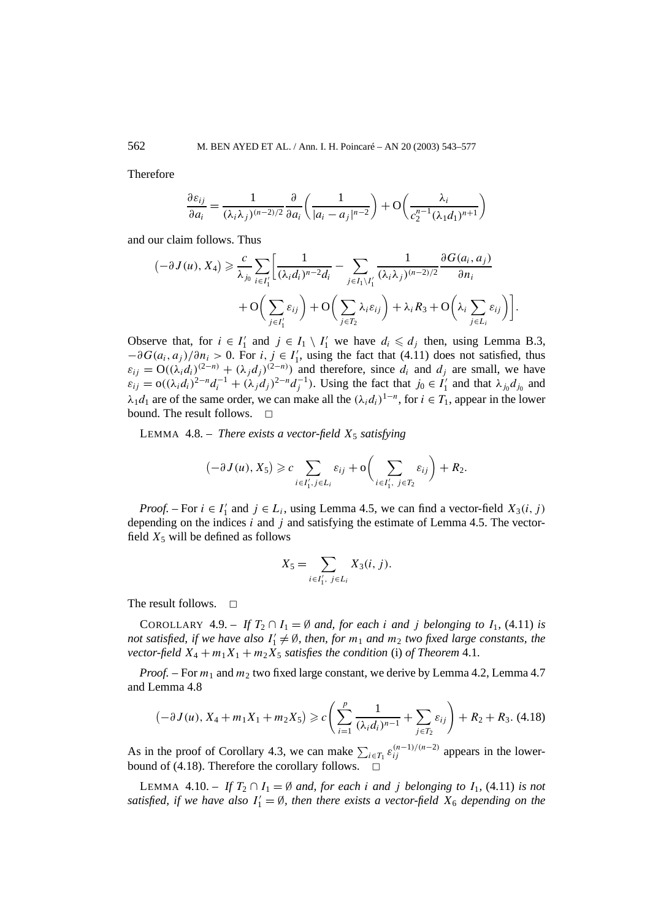Therefore

$$
\frac{\partial \varepsilon_{ij}}{\partial a_i} = \frac{1}{(\lambda_i \lambda_j)^{(n-2)/2}} \frac{\partial}{\partial a_i} \left( \frac{1}{|a_i - a_j|^{n-2}} \right) + \mathcal{O}\left( \frac{\lambda_i}{c_2^{n-1} (\lambda_1 d_1)^{n+1}} \right)
$$

and our claim follows. Thus

$$
(-\partial J(u), X_4) \geqslant \frac{c}{\lambda_{j_0}} \sum_{i \in I'_1} \left[ \frac{1}{(\lambda_i d_i)^{n-2} d_i} - \sum_{j \in I_1 \setminus I'_1} \frac{1}{(\lambda_i \lambda_j)^{(n-2)/2}} \frac{\partial G(a_i, a_j)}{\partial n_i} + O\left(\sum_{j \in I'_1} \varepsilon_{ij}\right) + O\left(\sum_{j \in T_2} \lambda_i \varepsilon_{ij}\right) + \lambda_i R_3 + O\left(\lambda_i \sum_{j \in L_i} \varepsilon_{ij}\right) \right].
$$

Observe that, for  $i \in I'_1$  and  $j \in I_1 \setminus I'_1$  we have  $d_i \leq d_j$  then, using Lemma B.3,  $-\partial G(a_i, a_j)/\partial n_i > 0$ . For *i*,  $j \in I'_1$ , using the fact that (4.11) does not satisfied, thus  $\varepsilon_{ij} = O((\lambda_i d_i)^{(2-n)} + (\lambda_j d_j)^{(2-n)})$  and therefore, since  $d_i$  and  $d_j$  are small, we have  $\varepsilon_{ij} = o((\lambda_i d_i)^{2-n} d_i^{-1} + (\lambda_j d_j)^{2-n} d_j^{-1})$ . Using the fact that  $j_0 \in I'_1$  and that  $\lambda_{j_0} d_{j_0}$  and  $\lambda_1 d_1$  are of the same order, we can make all the  $(\lambda_i d_i)^{1-n}$ , for  $i \in T_1$ , appear in the lower bound. The result follows.  $\Box$ 

LEMMA  $4.8.$  – *There exists a vector-field*  $X_5$  *satisfying* 

$$
(-\partial J(u), X_5) \geqslant c \sum_{i \in I'_1, j \in L_i} \varepsilon_{ij} + \mathcal{O}\bigg(\sum_{i \in I'_1, j \in T_2} \varepsilon_{ij}\bigg) + R_2.
$$

*Proof.* – For  $i \in I'_1$  and  $j \in L_i$ , using Lemma 4.5, we can find a vector-field  $X_3(i, j)$ depending on the indices *i* and *j* and satisfying the estimate of Lemma 4.5. The vectorfield  $X_5$  will be defined as follows

$$
X_5=\sum_{i\in I'_1,\ j\in L_i}X_3(i,j).
$$

The result follows.  $\Box$ 

COROLLARY 4.9. – If  $T_2 \cap I_1 = \emptyset$  and, for each *i* and *j* belonging to  $I_1$ , (4.11) is *not satisfied, if we have also*  $I'_1 \neq \emptyset$ , then, for  $m_1$  and  $m_2$  two fixed large constants, the *vector-field*  $X_4 + m_1 X_1 + m_2 X_5$  *satisfies the condition* (i) *of Theorem* 4.1*.* 

*Proof. –* For *m*<sup>1</sup> and *m*<sup>2</sup> two fixed large constant, we derive by Lemma 4.2, Lemma 4.7 and Lemma 4.8

$$
\left(-\frac{\partial J(u)}{\partial X_4} + m_1 X_1 + m_2 X_5\right) \geqslant c \left(\sum_{i=1}^p \frac{1}{(\lambda_i d_i)^{n-1}} + \sum_{j \in T_2} \varepsilon_{ij}\right) + R_2 + R_3. \tag{4.18}
$$

As in the proof of Corollary 4.3, we can make  $\sum_{i \in T_1} \varepsilon_{ij}^{(n-1)/(n-2)}$  appears in the lowerbound of  $(4.18)$ . Therefore the corollary follows.

LEMMA 4.10. – If  $T_2 \cap I_1 = \emptyset$  and, for each *i* and *j* belonging to  $I_1$ , (4.11) is not *satisfied, if we have also*  $I'_1 = \emptyset$ *, then there exists a vector-field*  $X_6$  *depending on the*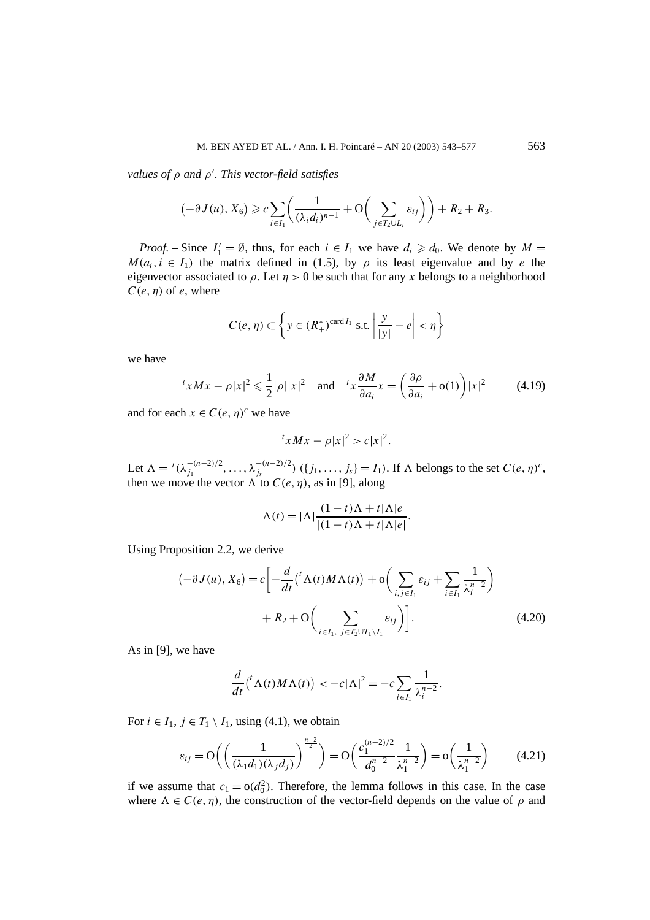*values of ρ and ρ . This vector-field satisfies*

$$
(-\partial J(u), X_6) \geqslant c \sum_{i \in I_1} \left( \frac{1}{(\lambda_i d_i)^{n-1}} + \mathcal{O}\left(\sum_{j \in T_2 \cup L_i} \varepsilon_{ij}\right) \right) + R_2 + R_3.
$$

*Proof.* – Since  $I'_1 = \emptyset$ , thus, for each  $i \in I_1$  we have  $d_i \geq d_0$ . We denote by  $M =$  $M(a_i, i \in I_1)$  the matrix defined in (1.5), by  $\rho$  its least eigenvalue and by *e* the eigenvector associated to  $\rho$ . Let  $\eta > 0$  be such that for any x belongs to a neighborhood  $C(e, \eta)$  of *e*, where

$$
C(e, \eta) \subset \left\{ y \in (R_+^*)^{\text{card } I_1} \text{ s.t. } \left| \frac{y}{|y|} - e \right| < \eta \right\}
$$

we have

$$
{}^{t}xMx - \rho |x|^{2} \leq \frac{1}{2}|\rho||x|^{2} \quad \text{and} \quad {}^{t}x\frac{\partial M}{\partial a_{i}}x = \left(\frac{\partial \rho}{\partial a_{i}} + o(1)\right)|x|^{2} \tag{4.19}
$$

and for each  $x \in C(e, \eta)^c$  we have

$$
t x M x - \rho |x|^2 > c |x|^2.
$$

Let  $\Lambda = {}^{t}(\lambda_{j_1}^{-(n-2)/2}, \ldots, \lambda_{j_s}^{-(n-2)/2})$  ({ $j_1, \ldots, j_s$ } =  $I_1$ ). If  $\Lambda$  belongs to the set  $C(e, \eta)^c$ , then we move the vector  $\Lambda$  to  $C(e, \eta)$ , as in [9], along

$$
\Lambda(t) = |\Lambda| \frac{(1-t)\Lambda + t|\Lambda|e}{|(1-t)\Lambda + t|\Lambda|e|}.
$$

Using Proposition 2.2, we derive

$$
(-\partial J(u), X_6) = c \left[ -\frac{d}{dt} \left( {}^t \Lambda(t) M \Lambda(t) \right) + o \left( \sum_{i,j \in I_1} \varepsilon_{ij} + \sum_{i \in I_1} \frac{1}{\lambda_i^{n-2}} \right) + R_2 + O \left( \sum_{i \in I_1, j \in T_2 \cup T_1 \setminus I_1} \varepsilon_{ij} \right) \right].
$$
 (4.20)

As in [9], we have

$$
\frac{d}{dt}\left(\begin{array}{c}\Lambda(t)M\Lambda(t)\end{array}\right)<-c|\Lambda|^2=-c\sum_{i\in I_1}\frac{1}{\lambda_i^{n-2}}.
$$

For  $i \in I_1$ ,  $j \in T_1 \setminus I_1$ , using (4.1), we obtain

$$
\varepsilon_{ij} = O\left(\left(\frac{1}{(\lambda_1 d_1)(\lambda_j d_j)}\right)^{\frac{n-2}{2}}\right) = O\left(\frac{c_1^{(n-2)/2}}{d_0^{n-2}}\frac{1}{\lambda_1^{n-2}}\right) = o\left(\frac{1}{\lambda_1^{n-2}}\right) \tag{4.21}
$$

if we assume that  $c_1 = o(d_0^2)$ . Therefore, the lemma follows in this case. In the case where  $\Lambda \in C(e, \eta)$ , the construction of the vector-field depends on the value of  $\rho$  and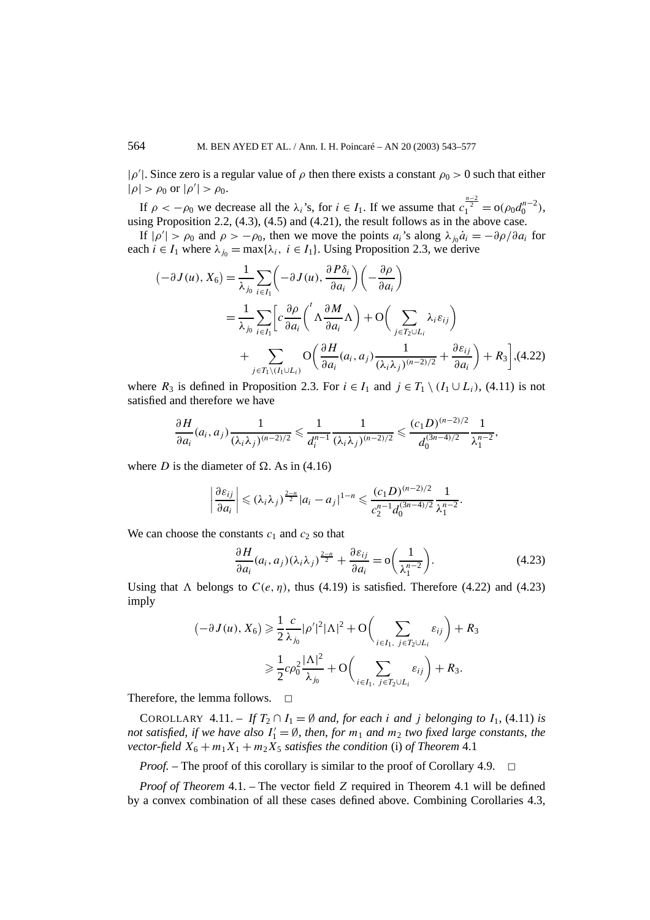$|\rho'|$ . Since zero is a regular value of  $\rho$  then there exists a constant  $\rho_0 > 0$  such that either  $|\rho| > \rho_0$  or  $|\rho'| > \rho_0$ .

If  $\rho < -\rho_0$  we decrease all the  $\lambda_i$ 's, for  $i \in I_1$ . If we assume that  $c_1^{\frac{n-2}{2}} = o(\rho_0 d_0^{n-2})$ , using Proposition 2.2, (4.3), (4.5) and (4.21), the result follows as in the above case.

If  $|\rho'| > \rho_0$  and  $\rho > -\rho_0$ , then we move the points  $a_i$ 's along  $\lambda_{j_0} \dot{a}_i = -\frac{\partial \rho}{\partial a_i}$  for each  $i \in I_1$  where  $\lambda_{i0} = \max{\{\lambda_i, i \in I_1\}}$ . Using Proposition 2.3, we derive

$$
\begin{split} (-\partial J(u), X_6) &= \frac{1}{\lambda_{j_0}} \sum_{i \in I_1} \left( -\partial J(u), \frac{\partial P \delta_i}{\partial a_i} \right) \left( -\frac{\partial \rho}{\partial a_i} \right) \\ &= \frac{1}{\lambda_{j_0}} \sum_{i \in I_1} \left[ c \frac{\partial \rho}{\partial a_i} \left( \Lambda \frac{\partial M}{\partial a_i} \Lambda \right) + \mathcal{O} \left( \sum_{j \in T_2 \cup L_i} \lambda_i \varepsilon_{ij} \right) \right. \\ &\left. + \sum_{j \in T_1 \setminus (I_1 \cup L_i)} \mathcal{O} \left( \frac{\partial H}{\partial a_i} (a_i, a_j) \frac{1}{(\lambda_i \lambda_j)^{(n-2)/2}} + \frac{\partial \varepsilon_{ij}}{\partial a_i} \right) + R_3 \right], \end{split} \tag{4.22}
$$

where  $R_3$  is defined in Proposition 2.3. For  $i \in I_1$  and  $j \in T_1 \setminus (I_1 \cup L_i)$ , (4.11) is not satisfied and therefore we have

$$
\frac{\partial H}{\partial a_i}(a_i, a_j) \frac{1}{(\lambda_i \lambda_j)^{(n-2)/2}} \leq \frac{1}{d_i^{n-1}} \frac{1}{(\lambda_i \lambda_j)^{(n-2)/2}} \leq \frac{(c_1 D)^{(n-2)/2}}{d_0^{(3n-4)/2}} \frac{1}{\lambda_1^{n-2}},
$$

where *D* is the diameter of  $\Omega$ . As in (4.16)

$$
\left|\frac{\partial \varepsilon_{ij}}{\partial a_i}\right| \leq (\lambda_i \lambda_j)^{\frac{2-n}{2}} |a_i - a_j|^{1-n} \leq \frac{(c_1 D)^{(n-2)/2}}{c_2^{n-1} d_0^{(3n-4)/2}} \frac{1}{\lambda_1^{n-2}}.
$$

We can choose the constants  $c_1$  and  $c_2$  so that

$$
\frac{\partial H}{\partial a_i}(a_i, a_j)(\lambda_i \lambda_j)^{\frac{2-n}{2}} + \frac{\partial \varepsilon_{ij}}{\partial a_i} = o\left(\frac{1}{\lambda_1^{n-2}}\right).
$$
 (4.23)

Using that  $\Lambda$  belongs to  $C(e, \eta)$ , thus (4.19) is satisfied. Therefore (4.22) and (4.23) imply

$$
\begin{aligned} \left(-\partial J(u), X_6\right) &\geq \frac{1}{2} \frac{c}{\lambda_{j_0}} |\rho'|^2 |\Lambda|^2 + \mathcal{O}\left(\sum_{i \in I_1, \ j \in T_2 \cup L_i} \varepsilon_{ij}\right) + R_3\\ &\geq \frac{1}{2} c\rho_0^2 \frac{|\Lambda|^2}{\lambda_{j_0}} + \mathcal{O}\left(\sum_{i \in I_1, \ j \in T_2 \cup L_i} \varepsilon_{ij}\right) + R_3. \end{aligned}
$$

Therefore, the lemma follows.  $\square$ 

COROLLARY 4.11. – *If*  $T_2 \cap I_1 = \emptyset$  *and, for each i and j belonging to*  $I_1$ , (4.11) *is not satisfied, if we have also*  $I'_1 = \emptyset$ , then, for  $m_1$  and  $m_2$  two fixed large constants, the *vector-field*  $X_6 + m_1 X_1 + m_2 X_5$  *satisfies the condition* (i) *of Theorem* 4.1

*Proof.* – The proof of this corollary is similar to the proof of Corollary 4.9.  $\Box$ 

*Proof of Theorem* 4.1*. –* The vector field *Z* required in Theorem 4.1 will be defined by a convex combination of all these cases defined above. Combining Corollaries 4.3,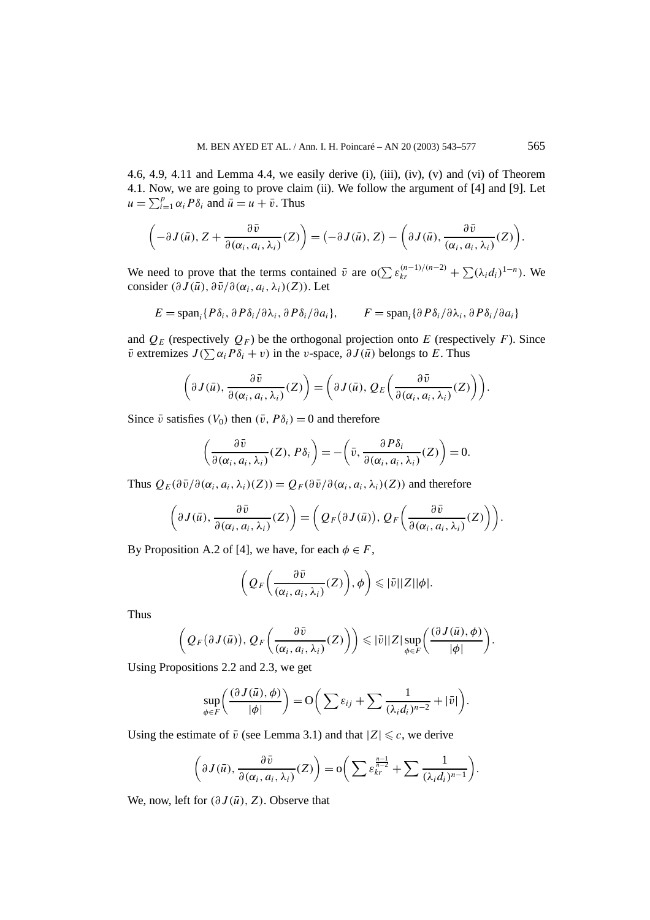4.6, 4.9, 4.11 and Lemma 4.4, we easily derive (i), (iii), (iv), (v) and (vi) of Theorem 4.1. Now, we are going to prove claim (ii). We follow the argument of [4] and [9]. Let  $u = \sum_{i=1}^{p} \alpha_i P \delta_i$  and  $\overline{u} = u + \overline{v}$ . Thus

$$
\left(-\partial J(\bar{u}), Z + \frac{\partial \bar{v}}{\partial(\alpha_i, a_i, \lambda_i)}(Z)\right) = \left(-\partial J(\bar{u}), Z\right) - \left(\partial J(\bar{u}), \frac{\partial \bar{v}}{(\alpha_i, a_i, \lambda_i)}(Z)\right).
$$

We need to prove that the terms contained  $\bar{v}$  are  $o(\sum \varepsilon_{kr}^{(n-1)/(n-2)} + \sum (\lambda_i d_i)^{1-n})$ . We consider  $(\partial J(\bar{u}), \partial \bar{v}/\partial (\alpha_i, a_i, \lambda_i)(Z))$ . Let

$$
E = \text{span}_{i} \{ P \delta_{i}, \partial P \delta_{i} / \partial \lambda_{i}, \partial P \delta_{i} / \partial a_{i} \}, \qquad F = \text{span}_{i} \{ \partial P \delta_{i} / \partial \lambda_{i}, \partial P \delta_{i} / \partial a_{i} \}
$$

and  $Q_F$  (respectively  $Q_F$ ) be the orthogonal projection onto *E* (respectively *F*). Since  $\bar{v}$  extremizes  $J(\sum \alpha_i P \delta_i + v)$  in the *v*-space,  $\partial J(\bar{u})$  belongs to *E*. Thus

$$
\left(\partial J(\bar{u}), \frac{\partial \bar{v}}{\partial(\alpha_i, a_i, \lambda_i)}(Z)\right) = \left(\partial J(\bar{u}), Q_E\left(\frac{\partial \bar{v}}{\partial(\alpha_i, a_i, \lambda_i)}(Z)\right)\right).
$$

Since  $\bar{v}$  satisfies  $(V_0)$  then  $(\bar{v}, P\delta_i) = 0$  and therefore

$$
\left(\frac{\partial \bar{v}}{\partial(\alpha_i, a_i, \lambda_i)}(Z), P\delta_i\right) = -\left(\bar{v}, \frac{\partial P\delta_i}{\partial(\alpha_i, a_i, \lambda_i)}(Z)\right) = 0.
$$

Thus  $Q_F(\partial \bar{v}/\partial (\alpha_i, a_i, \lambda_i)(Z)) = Q_F(\partial \bar{v}/\partial (\alpha_i, a_i, \lambda_i)(Z))$  and therefore

$$
\left(\partial J(\bar{u}), \frac{\partial \bar{v}}{\partial (\alpha_i, a_i, \lambda_i)}(Z)\right) = \left(Q_F\big(\partial J(\bar{u})\big), Q_F\bigg(\frac{\partial \bar{v}}{\partial (\alpha_i, a_i, \lambda_i)}(Z)\bigg)\right).
$$

By Proposition A.2 of [4], we have, for each  $\phi \in F$ ,

$$
\left(Q_F\left(\frac{\partial \bar{v}}{(\alpha_i, a_i, \lambda_i)}(Z)\right), \phi\right) \leqslant |\bar{v}||Z||\phi|.
$$

Thus

$$
\left(Q_F(\partial J(\bar{u})), Q_F\left(\frac{\partial \bar{v}}{(\alpha_i, a_i, \lambda_i)}(Z)\right)\right) \leqslant |\bar{v}||Z| \sup_{\phi \in F}\bigg(\frac{(\partial J(\bar{u}), \phi)}{|\phi|}\bigg).
$$

Using Propositions 2.2 and 2.3, we get

$$
\sup_{\phi \in F} \left( \frac{(\partial J(\bar{u}), \phi)}{|\phi|} \right) = O\bigg( \sum \varepsilon_{ij} + \sum \frac{1}{(\lambda_i d_i)^{n-2}} + |\bar{v}| \bigg).
$$

Using the estimate of  $\bar{v}$  (see Lemma 3.1) and that  $|Z| \leq c$ , we derive

$$
\left(\partial J(\bar{u}), \frac{\partial \bar{v}}{\partial(\alpha_i, a_i, \lambda_i)}(Z)\right) = o\bigg(\sum \varepsilon_{kr}^{\frac{n-1}{n-2}} + \sum \frac{1}{(\lambda_i d_i)^{n-1}}\bigg).
$$

We, now, left for  $(\partial J(\bar{u}), Z)$ . Observe that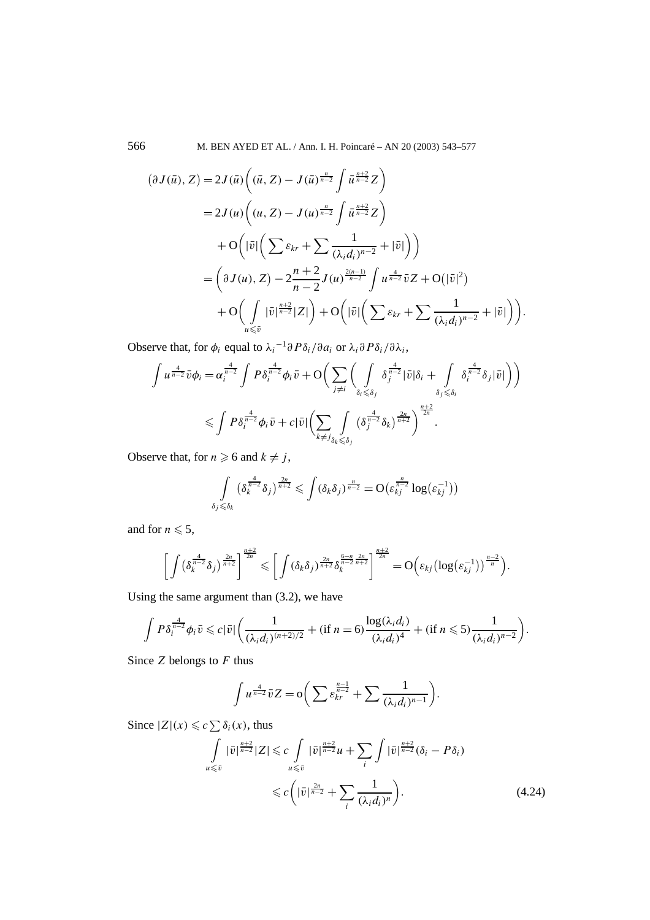566 M. BEN AYED ET AL. / Ann. I. H. Poincaré – AN 20 (2003) 543–577

$$
(\partial J(\bar{u}), Z) = 2J(\bar{u}) \left( (\bar{u}, Z) - J(\bar{u})^{\frac{n}{n-2}} \int \bar{u}^{\frac{n+2}{n-2}} Z \right)
$$
  
=  $2J(u) \left( (u, Z) - J(u)^{\frac{n}{n-2}} \int \bar{u}^{\frac{n+2}{n-2}} Z \right)$   
+  $O\left( |\bar{v}| \left( \sum \varepsilon_{kr} + \sum \frac{1}{(\lambda_i d_i)^{n-2}} + |\bar{v}| \right) \right)$   
=  $\left( \partial J(u), Z \right) - 2 \frac{n+2}{n-2} J(u)^{\frac{2(n-1)}{n-2}} \int u^{\frac{4}{n-2}} \bar{v} Z + O(|\bar{v}|^2)$   
+  $O\left( \int_{u \le \bar{v}} |\bar{v}|^{\frac{n+2}{n-2}} |Z| \right) + O\left( |\bar{v}| \left( \sum \varepsilon_{kr} + \sum \frac{1}{(\lambda_i d_i)^{n-2}} + |\bar{v}| \right) \right).$ 

Observe that, for  $\phi_i$  equal to  $\lambda_i^{-1}\partial P\delta_i/\partial a_i$  or  $\lambda_i \partial P\delta_i/\partial \lambda_i$ ,

$$
\int u^{\frac{4}{n-2}} \bar{v} \phi_i = \alpha_i^{\frac{4}{n-2}} \int P \delta_i^{\frac{4}{n-2}} \phi_i \bar{v} + O\bigg(\sum_{j \neq i} \bigg( \int \limits_{\delta_i \leq \delta_j} \delta_j^{\frac{4}{n-2}} |\bar{v}| \delta_i + \int \limits_{\delta_j \leq \delta_i} \delta_i^{\frac{4}{n-2}} \delta_j |\bar{v}| \bigg) \bigg)
$$
  

$$
\leq \int P \delta_i^{\frac{4}{n-2}} \phi_i \bar{v} + c |\bar{v}| \bigg(\sum_{k \neq j} \int \limits_{\delta_k \leq \delta_j} (\delta_j^{\frac{4}{n-2}} \delta_k)^{\frac{2n}{n+2}} \bigg)^{\frac{n+2}{2n}}.
$$

Observe that, for  $n \ge 6$  and  $k \ne j$ ,

$$
\int\limits_{\delta_j\leqslant\delta_k}\left(\delta_k^{\frac{4}{n-2}}\delta_j\right)^{\frac{2n}{n+2}}\leqslant\int\left(\delta_k\delta_j\right)^{\frac{n}{n-2}}=O\big(\varepsilon_{kj}^{\frac{n}{n-2}}\log\big(\varepsilon_{kj}^{-1}\big)\big)
$$

and for  $n \leqslant 5$ ,

$$
\left[\int \left(\delta_k^{\frac{4}{n-2}}\delta_j\right)^{\frac{2n}{n+2}}\right]^{\frac{n+2}{2n}} \leqslant \left[\int \left(\delta_k\delta_j\right)^{\frac{2n}{n+2}}\delta_k^{\frac{6-n}{n-2}\frac{2n}{n+2}}\right]^{\frac{n+2}{2n}} = O\left(\varepsilon_{kj}\left(\log\left(\varepsilon_{kj}^{-1}\right)\right)^{\frac{n-2}{n}}\right).
$$

Using the same argument than (3.2), we have

$$
\int P\delta_i^{\frac{4}{n-2}}\phi_i\bar{v}\leqslant c|\bar{v}|\bigg(\frac{1}{(\lambda_id_i)^{(n+2)/2}}+(\text{if }n=6)\frac{\log(\lambda_id_i)}{(\lambda_id_i)^4}+(\text{if }n\leqslant 5)\frac{1}{(\lambda_id_i)^{n-2}}\bigg).
$$

Since *Z* belongs to *F* thus

$$
\int u^{\frac{4}{n-2}}\overline{v}Z = o\bigg(\sum \varepsilon_{kr}^{\frac{n-1}{n-2}} + \sum \frac{1}{(\lambda_i d_i)^{n-1}}\bigg).
$$

Since  $|Z|(x) \leq c \sum \delta_i(x)$ , thus

$$
\int_{u \leq \bar{v}} |\bar{v}|^{\frac{n+2}{n-2}} |Z| \leqslant c \int_{u \leq \bar{v}} |\bar{v}|^{\frac{n+2}{n-2}} u + \sum_{i} \int |\bar{v}|^{\frac{n+2}{n-2}} (\delta_i - P\delta_i)
$$
  

$$
\leqslant c \left( |\bar{v}|^{\frac{2n}{n-2}} + \sum_{i} \frac{1}{(\lambda_i d_i)^n} \right).
$$
 (4.24)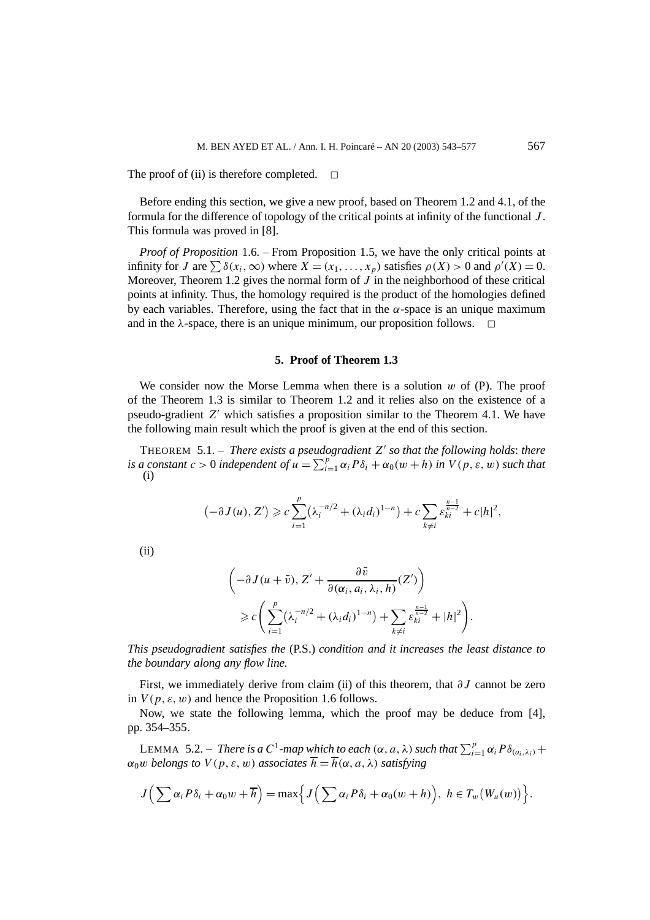The proof of (ii) is therefore completed.  $\Box$ 

Before ending this section, we give a new proof, based on Theorem 1.2 and 4.1, of the formula for the difference of topology of the critical points at infinity of the functional *J* . This formula was proved in [8].

*Proof of Proposition* 1.6*. –* From Proposition 1.5, we have the only critical points at infinity for *J* are  $\sum \delta(x_i, \infty)$  where  $X = (x_1, \ldots, x_p)$  satisfies  $\rho(X) > 0$  and  $\rho'(X) = 0$ . Moreover, Theorem 1.2 gives the normal form of  $J$  in the neighborhood of these critical points at infinity. Thus, the homology required is the product of the homologies defined by each variables. Therefore, using the fact that in the  $\alpha$ -space is an unique maximum and in the  $\lambda$ -space, there is an unique minimum, our proposition follows.  $\Box$ 

### **5. Proof of Theorem 1.3**

We consider now the Morse Lemma when there is a solution *w* of (P). The proof of the Theorem 1.3 is similar to Theorem 1.2 and it relies also on the existence of a pseudo-gradient *Z* which satisfies a proposition similar to the Theorem 4.1. We have the following main result which the proof is given at the end of this section.

THEOREM 5.1. – *There exists a pseudogradient*  $Z'$  *so that the following holds: there is a constant*  $c > 0$  *independent* of  $u = \sum_{i=1}^{p} \alpha_i P \delta_i + \alpha_0 (w + h)$  *in*  $V(p, \varepsilon, w)$  *such that* (i)

$$
(-\partial J(u), Z') \geqslant c \sum_{i=1}^{p} \left(\lambda_i^{-n/2} + (\lambda_i d_i)^{1-n}\right) + c \sum_{k \neq i} \varepsilon_{ki}^{\frac{n-1}{n-2}} + c|h|^2,
$$

(ii)

$$
\left(-\partial J(u+\bar{v}), Z' + \frac{\partial \bar{v}}{\partial(\alpha_i, a_i, \lambda_i, h)}(Z')\right)
$$
  

$$
\geq c \left(\sum_{i=1}^p (\lambda_i^{-n/2} + (\lambda_i d_i)^{1-n}) + \sum_{k \neq i} \varepsilon_{ki}^{\frac{n-1}{n-2}} + |h|^2\right).
$$

*This pseudogradient satisfies the* (P.S.) *condition and it increases the least distance to the boundary along any flow line.*

First, we immediately derive from claim (ii) of this theorem, that *∂J* cannot be zero in  $V(p, \varepsilon, w)$  and hence the Proposition 1.6 follows.

Now, we state the following lemma, which the proof may be deduce from [4], pp. 354–355.

LEMMA 5.2. – *There is a*  $C^1$ -map which to each  $(\alpha, a, \lambda)$  such that  $\sum_{i=1}^p \alpha_i P\delta_{(a_i, \lambda_i)}$  +  $\alpha_0 w$  *belongs to*  $V(p, \varepsilon, w)$  *associates*  $\overline{h} = \overline{h}(\alpha, a, \lambda)$  *satisfying* 

$$
J\Big(\sum \alpha_i P\delta_i + \alpha_0 w + \overline{h}\Big) = \max\Big\{J\Big(\sum \alpha_i P\delta_i + \alpha_0 (w+h)\Big), h \in T_w(W_u(w))\Big\}.
$$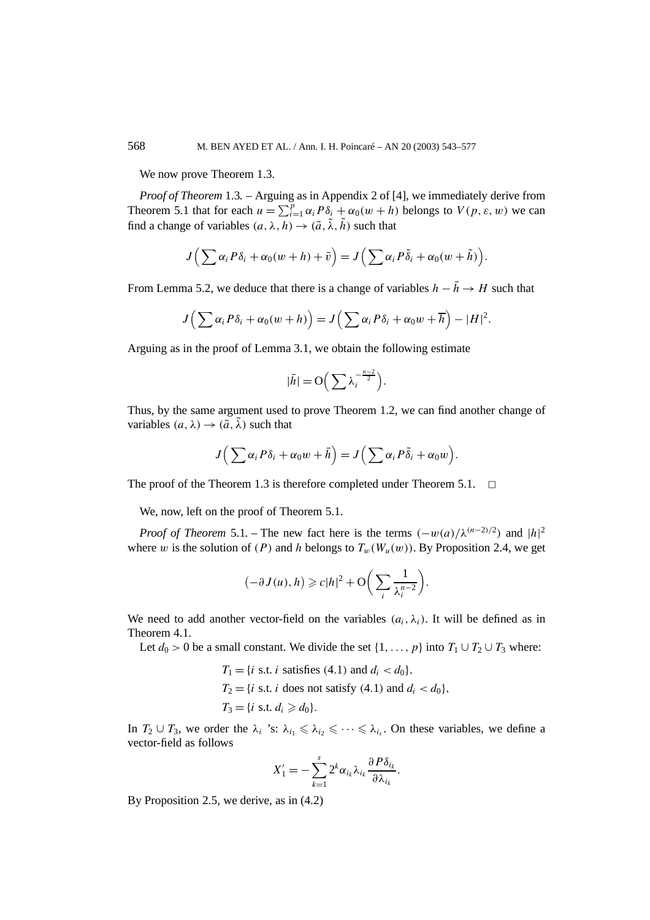We now prove Theorem 1.3.

*Proof of Theorem* 1.3*. –* Arguing as in Appendix 2 of [4], we immediately derive from Theorem 5.1 that for each  $u = \sum_{i=1}^{p} \alpha_i P \delta_i + \alpha_0 (w + h)$  belongs to  $V(p, \varepsilon, w)$  we can find a change of variables  $(a, \lambda, h) \rightarrow (\tilde{a}, \tilde{\lambda}, \tilde{h})$  such that

$$
J\Big(\sum \alpha_i P\delta_i + \alpha_0(w+h) + \bar{v}\Big) = J\Big(\sum \alpha_i P\tilde{\delta}_i + \alpha_0(w+\tilde{h})\Big).
$$

From Lemma 5.2, we deduce that there is a change of variables  $h - \bar{h} \rightarrow H$  such that

$$
J\left(\sum \alpha_i P\delta_i + \alpha_0(w+h)\right) = J\left(\sum \alpha_i P\delta_i + \alpha_0 w + \overline{h}\right) - |H|^2.
$$

Arguing as in the proof of Lemma 3.1, we obtain the following estimate

$$
|\bar{h}| = \mathcal{O}\Big(\sum \lambda_i^{-\frac{n-2}{2}}\Big).
$$

Thus, by the same argument used to prove Theorem 1.2, we can find another change of variables  $(a, \lambda) \rightarrow (\tilde{a}, \tilde{\lambda})$  such that

$$
J\left(\sum \alpha_i P\delta_i + \alpha_0 w + \bar{h}\right) = J\left(\sum \alpha_i P\tilde{\delta}_i + \alpha_0 w\right).
$$

The proof of the Theorem 1.3 is therefore completed under Theorem 5.1.  $\Box$ 

We, now, left on the proof of Theorem 5.1.

*Proof of Theorem* 5.1. – The new fact here is the terms  $(-w(a)/\lambda^{(n-2)/2})$  and  $|h|^2$ where *w* is the solution of *(P)* and *h* belongs to  $T_w(W_u(w))$ . By Proposition 2.4, we get

$$
(-\partial J(u), h) \geqslant c|h|^2 + \mathcal{O}\bigg(\sum_i \frac{1}{\lambda_i^{n-2}}\bigg).
$$

We need to add another vector-field on the variables  $(a_i, \lambda_i)$ . It will be defined as in Theorem 4.1.

Let  $d_0 > 0$  be a small constant. We divide the set  $\{1, \ldots, p\}$  into  $T_1 \cup T_2 \cup T_3$  where:

$$
T_1 = \{i \text{ s.t. } i \text{ satisfies (4.1) and } d_i < d_0\},
$$
\n
$$
T_2 = \{i \text{ s.t. } i \text{ does not satisfy (4.1) and } d_i < d_0\},
$$
\n
$$
T_3 = \{i \text{ s.t. } d_i \ge d_0\}.
$$

In  $T_2 \cup T_3$ , we order the  $\lambda_i$  's:  $\lambda_{i_1} \leq \lambda_{i_2} \leq \cdots \leq \lambda_{i_s}$ . On these variables, we define a vector-field as follows

$$
X'_1 = -\sum_{k=1}^s 2^k \alpha_{i_k} \lambda_{i_k} \frac{\partial P \delta_{i_k}}{\partial \lambda_{i_k}}.
$$

By Proposition 2.5, we derive, as in (4.2)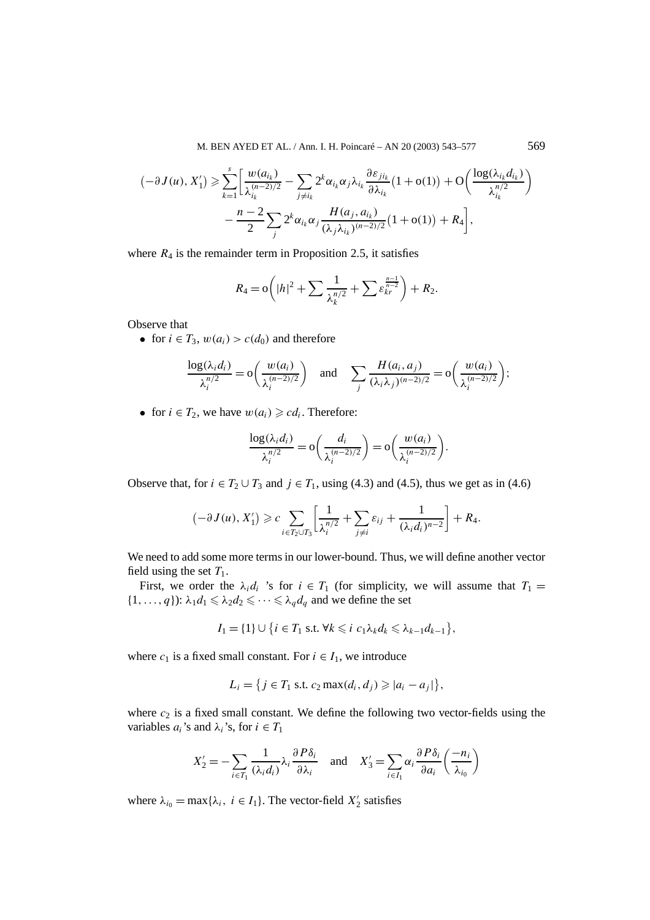M. BEN AYED ET AL. / Ann. I. H. Poincaré – AN 20 (2003) 543–577 569

$$
\begin{split} \left(-\partial J(u), X_1'\right) &\geq \sum_{k=1}^s \left[ \frac{w(a_{i_k})}{\lambda_{i_k}^{(n-2)/2}} - \sum_{j \neq i_k} 2^k \alpha_{i_k} \alpha_j \lambda_{i_k} \frac{\partial \varepsilon_{j i_k}}{\partial \lambda_{i_k}} \left(1 + \mathcal{O}(1)\right) + \mathcal{O}\left(\frac{\log(\lambda_{i_k} d_{i_k})}{\lambda_{i_k}^{n/2}}\right) \right. \\ &\left. - \frac{n-2}{2} \sum_j 2^k \alpha_{i_k} \alpha_j \frac{H(a_j, a_{i_k})}{(\lambda_j \lambda_{i_k})^{(n-2)/2}} \left(1 + \mathcal{O}(1)\right) + R_4 \right], \end{split}
$$

where  $R_4$  is the remainder term in Proposition 2.5, it satisfies

$$
R_4 = o\left(|h|^2 + \sum \frac{1}{\lambda_k^{n/2}} + \sum \varepsilon_{kr}^{\frac{n-1}{n-2}}\right) + R_2.
$$

Observe that

• for  $i \in T_3$ ,  $w(a_i) > c(d_0)$  and therefore

$$
\frac{\log(\lambda_i d_i)}{\lambda_i^{n/2}} = \mathcal{O}\left(\frac{w(a_i)}{\lambda_i^{(n-2)/2}}\right) \quad \text{and} \quad \sum_j \frac{H(a_i, a_j)}{(\lambda_i \lambda_j)^{(n-2)/2}} = \mathcal{O}\left(\frac{w(a_i)}{\lambda_i^{(n-2)/2}}\right);
$$

• for  $i \in T_2$ , we have  $w(a_i) \geqslant c d_i$ . Therefore:

$$
\frac{\log(\lambda_i d_i)}{\lambda_i^{n/2}} = o\bigg(\frac{d_i}{\lambda_i^{(n-2)/2}}\bigg) = o\bigg(\frac{w(a_i)}{\lambda_i^{(n-2)/2}}\bigg).
$$

Observe that, for  $i \in T_2 \cup T_3$  and  $j \in T_1$ , using (4.3) and (4.5), thus we get as in (4.6)

$$
(-\partial J(u), X'_1) \geqslant c \sum_{i \in T_2 \cup T_3} \left[ \frac{1}{\lambda_i^{n/2}} + \sum_{j \neq i} \varepsilon_{ij} + \frac{1}{(\lambda_i d_i)^{n-2}} \right] + R_4.
$$

We need to add some more terms in our lower-bound. Thus, we will define another vector field using the set  $T_1$ .

First, we order the  $\lambda_i d_i$  's for  $i \in T_1$  (for simplicity, we will assume that  $T_1 =$  $\{1, \ldots, q\}$ :  $\lambda_1 d_1 \leq \lambda_2 d_2 \leq \cdots \leq \lambda_q d_q$  and we define the set

$$
I_1 = \{1\} \cup \{i \in T_1 \text{ s.t. } \forall k \leq i \ c_1 \lambda_k d_k \leq \lambda_{k-1} d_{k-1}\},
$$

where  $c_1$  is a fixed small constant. For  $i \in I_1$ , we introduce

$$
L_i = \{j \in T_1 \text{ s.t. } c_2 \max(d_i, d_j) \geqslant |a_i - a_j| \},
$$

where  $c_2$  is a fixed small constant. We define the following two vector-fields using the variables  $a_i$ 's and  $\lambda_i$ 's, for  $i \in T_1$ 

$$
X_2' = -\sum_{i \in T_1} \frac{1}{(\lambda_i d_i)} \lambda_i \frac{\partial P \delta_i}{\partial \lambda_i} \quad \text{and} \quad X_3' = \sum_{i \in I_1} \alpha_i \frac{\partial P \delta_i}{\partial a_i} \left( \frac{-n_i}{\lambda_{i_0}} \right)
$$

where  $\lambda_{i_0} = \max{\{\lambda_i, i \in I_1\}}$ . The vector-field  $X'_2$  satisfies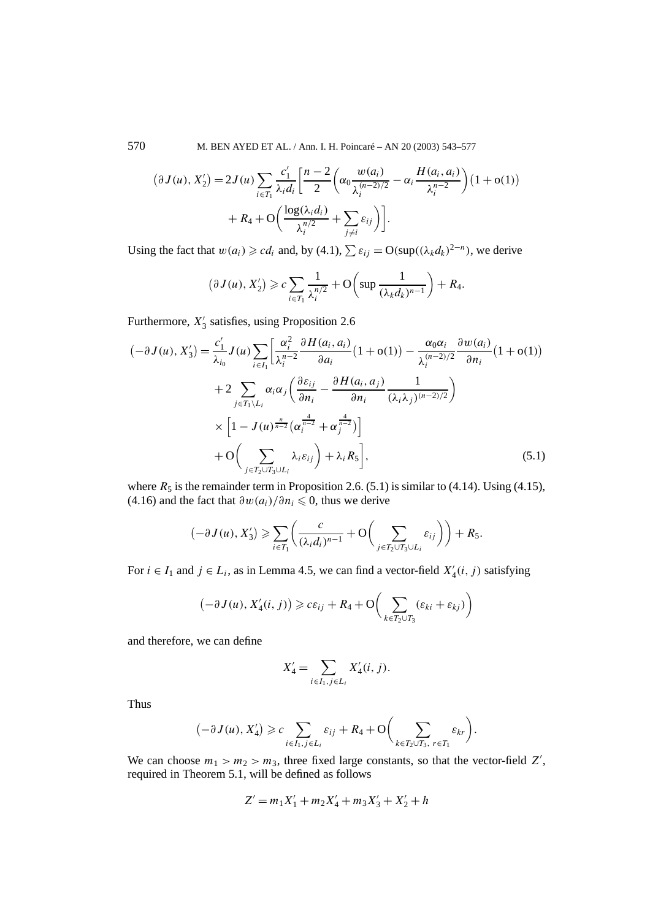570 M. BEN AYED ET AL. / Ann. I. H. Poincaré – AN 20 (2003) 543–577

$$
(\partial J(u), X'_2) = 2J(u) \sum_{i \in T_1} \frac{c'_1}{\lambda_i d_i} \left[ \frac{n-2}{2} \left( \alpha_0 \frac{w(a_i)}{\lambda_i^{(n-2)/2}} - \alpha_i \frac{H(a_i, a_i)}{\lambda_i^{n-2}} \right) (1 + o(1)) + R_4 + O\left( \frac{\log(\lambda_i d_i)}{\lambda_i^{n/2}} + \sum_{j \neq i} \varepsilon_{ij} \right) \right].
$$

Using the fact that  $w(a_i) \geq c d_i$  and, by (4.1),  $\sum \varepsilon_{ij} = O(\sup((\lambda_k d_k)^{2-n})$ , we derive

$$
(\partial J(u), X'_2) \geqslant c \sum_{i \in T_1} \frac{1}{\lambda_i^{n/2}} + \mathcal{O}\left(\sup \frac{1}{(\lambda_k d_k)^{n-1}}\right) + R_4.
$$

Furthermore, *X* <sup>3</sup> satisfies, using Proposition 2.6

$$
\begin{split}\n(-\partial J(u), X_3') &= \frac{c_1'}{\lambda_{i_0}} J(u) \sum_{i \in I_1} \left[ \frac{\alpha_i^2}{\lambda_i^{n-2}} \frac{\partial H(a_i, a_i)}{\partial a_i} (1 + \mathbf{o}(1)) - \frac{\alpha_0 \alpha_i}{\lambda_i^{(n-2)/2}} \frac{\partial w(a_i)}{\partial n_i} (1 + \mathbf{o}(1)) \right. \\
&\quad + 2 \sum_{j \in T_1 \setminus L_i} \alpha_i \alpha_j \left( \frac{\partial \varepsilon_{ij}}{\partial n_i} - \frac{\partial H(a_i, a_j)}{\partial n_i} \frac{1}{(\lambda_i \lambda_j)^{(n-2)/2}} \right) \\
&\quad \times \left[ 1 - J(u) \frac{\pi}{n-2} \left( \alpha_i^{\frac{4}{n-2}} + \alpha_j^{\frac{4}{n-2}} \right) \right] \\
&\quad + \mathbf{O} \left( \sum_{j \in T_2 \cup T_3 \cup L_i} \lambda_i \varepsilon_{ij} \right) + \lambda_i R_5 \right],\n\end{split} \tag{5.1}
$$

where  $R_5$  is the remainder term in Proposition 2.6. (5.1) is similar to (4.14). Using (4.15),  $(4.16)$  and the fact that  $\frac{\partial w(a_i)}{\partial n_i} \leq 0$ , thus we derive

$$
(-\partial J(u), X'_3) \geqslant \sum_{i \in T_1} \left( \frac{c}{(\lambda_i d_i)^{n-1}} + \mathcal{O}\left(\sum_{j \in T_2 \cup T_3 \cup L_i} \varepsilon_{ij}\right) \right) + R_5.
$$

For  $i \in I_1$  and  $j \in L_i$ , as in Lemma 4.5, we can find a vector-field  $X'_4(i, j)$  satisfying

$$
(-\partial J(u), X'_4(i, j)) \geq c\epsilon_{ij} + R_4 + O\bigg(\sum_{k \in T_2 \cup T_3} (\epsilon_{ki} + \epsilon_{kj})\bigg)
$$

and therefore, we can define

$$
X_4' = \sum_{i \in I_1, j \in L_i} X_4'(i, j).
$$

Thus

$$
(-\partial J(u), X_4') \geqslant c \sum_{i \in I_1, j \in L_i} \varepsilon_{ij} + R_4 + O\bigg(\sum_{k \in T_2 \cup T_3, r \in T_1} \varepsilon_{kr}\bigg).
$$

We can choose  $m_1 > m_2 > m_3$ , three fixed large constants, so that the vector-field  $Z'$ , required in Theorem 5.1, will be defined as follows

$$
Z' = m_1 X_1' + m_2 X_4' + m_3 X_3' + X_2' + h
$$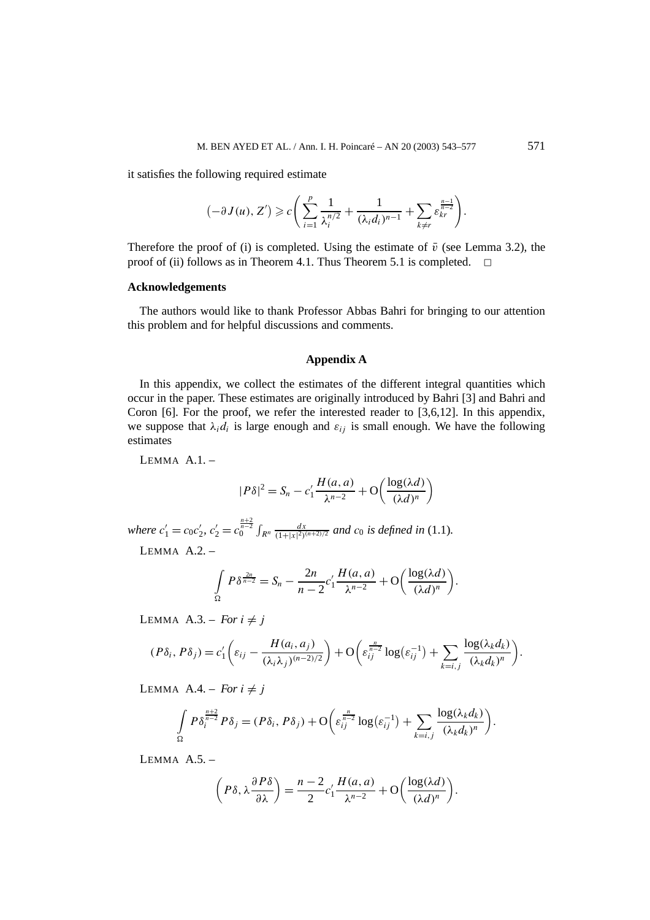it satisfies the following required estimate

$$
(-\partial J(u), Z') \geqslant c \left( \sum_{i=1}^p \frac{1}{\lambda_i^{n/2}} + \frac{1}{(\lambda_i d_i)^{n-1}} + \sum_{k \neq r} \varepsilon_{kr}^{\frac{n-1}{n-2}} \right).
$$

Therefore the proof of (i) is completed. Using the estimate of  $\bar{v}$  (see Lemma 3.2), the proof of (ii) follows as in Theorem 4.1. Thus Theorem 5.1 is completed.  $\Box$ 

## **Acknowledgements**

The authors would like to thank Professor Abbas Bahri for bringing to our attention this problem and for helpful discussions and comments.

#### **Appendix A**

In this appendix, we collect the estimates of the different integral quantities which occur in the paper. These estimates are originally introduced by Bahri [3] and Bahri and Coron  $[6]$ . For the proof, we refer the interested reader to  $[3,6,12]$ . In this appendix, we suppose that  $\lambda_i d_i$  is large enough and  $\varepsilon_{ij}$  is small enough. We have the following estimates

LEMMA $A.1.$  –

$$
|P\delta|^2 = S_n - c_1' \frac{H(a,a)}{\lambda^{n-2}} + O\left(\frac{\log(\lambda d)}{(\lambda d)^n}\right)
$$

where  $c'_1 = c_0 c'_2$ ,  $c'_2 = c_0^{\frac{n+2}{n-2}} \int_{R^n} \frac{dx}{(1+|x|^2)^{(n+2)/2}}$  and  $c_0$  is defined in (1.1).

LEMMA $A.2.$  –

$$
\int_{\Omega} P \delta^{\frac{2n}{n-2}} = S_n - \frac{2n}{n-2} c_1' \frac{H(a,a)}{\lambda^{n-2}} + O\left(\frac{\log(\lambda d)}{(\lambda d)^n}\right).
$$

LEMMA A.3. – *For*  $i \neq j$ 

$$
(P\delta_i, P\delta_j) = c'_1 \left( \varepsilon_{ij} - \frac{H(a_i, a_j)}{(\lambda_i \lambda_j)^{(n-2)/2}} \right) + \mathcal{O}\left( \varepsilon_{ij}^{\frac{n}{n-2}} \log(\varepsilon_{ij}^{-1}) + \sum_{k=i,j} \frac{\log(\lambda_k d_k)}{(\lambda_k d_k)^n} \right).
$$

LEMMA  $A.4 - For i \neq j$ 

$$
\int_{\Omega} P\delta_i^{\frac{n+2}{n-2}} P\delta_j = (P\delta_i, P\delta_j) + \mathcal{O}\bigg(\varepsilon_{ij}^{\frac{n}{n-2}} \log(\varepsilon_{ij}^{-1}) + \sum_{k=i,j} \frac{\log(\lambda_k d_k)}{(\lambda_k d_k)^n}\bigg).
$$

LEMMA $A.5.$  –

$$
\left(P\delta, \lambda \frac{\partial P\delta}{\partial \lambda}\right) = \frac{n-2}{2}c'_1 \frac{H(a,a)}{\lambda^{n-2}} + \mathcal{O}\left(\frac{\log(\lambda d)}{(\lambda d)^n}\right).
$$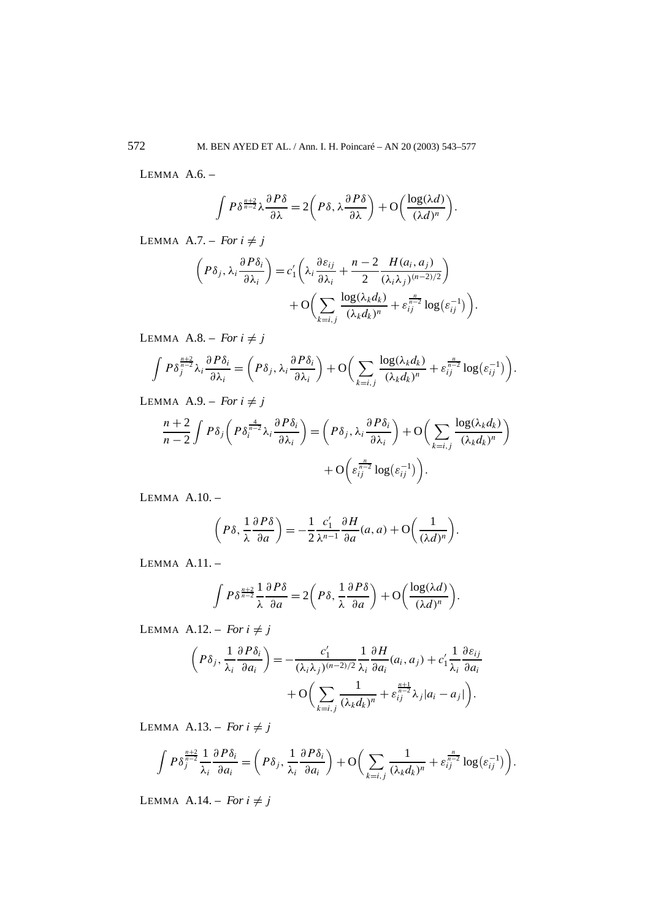LEMMA A.6. –

$$
\int P\delta^{\frac{n+2}{n-2}}\lambda\frac{\partial P\delta}{\partial\lambda}=2\bigg(P\delta,\lambda\frac{\partial P\delta}{\partial\lambda}\bigg)+O\bigg(\frac{\log(\lambda d)}{(\lambda d)^n}\bigg).
$$

LEMMA A.7. – *For*  $i \neq j$ 

$$
\left(P\delta_j, \lambda_i \frac{\partial P\delta_i}{\partial \lambda_i}\right) = c'_1 \left(\lambda_i \frac{\partial \varepsilon_{ij}}{\partial \lambda_i} + \frac{n-2}{2} \frac{H(a_i, a_j)}{(\lambda_i \lambda_j)^{(n-2)/2}}\right) + O\left(\sum_{k=i,j} \frac{\log(\lambda_k d_k)}{(\lambda_k d_k)^n} + \varepsilon_{ij}^{\frac{n}{n-2}} \log(\varepsilon_{ij}^{-1})\right).
$$

LEMMA A.8. – *For*  $i \neq j$ 

$$
\int P\delta_j^{\frac{n+2}{n-2}}\lambda_i\frac{\partial P\delta_i}{\partial\lambda_i} = \left(P\delta_j, \lambda_i\frac{\partial P\delta_i}{\partial\lambda_i}\right) + \mathcal{O}\bigg(\sum_{k=i,j}\frac{\log(\lambda_k d_k)}{(\lambda_k d_k)^n} + \varepsilon_{ij}^{\frac{n}{n-2}}\log(\varepsilon_{ij}^{-1})\bigg).
$$

LEMMA A.9. – *For*  $i \neq j$ 

$$
\frac{n+2}{n-2} \int P\delta_j \left( P \delta_i^{\frac{4}{n-2}} \lambda_i \frac{\partial P \delta_i}{\partial \lambda_i} \right) = \left( P\delta_j, \lambda_i \frac{\partial P \delta_i}{\partial \lambda_i} \right) + \mathcal{O} \left( \sum_{k=i,j} \frac{\log(\lambda_k d_k)}{(\lambda_k d_k)^n} \right) + \mathcal{O} \left( \varepsilon_{ij}^{\frac{n}{n-2}} \log(\varepsilon_{ij}^{-1}) \right).
$$

LEMMA A.10. –

$$
\left(P\delta, \frac{1}{\lambda} \frac{\partial P\delta}{\partial a}\right) = -\frac{1}{2} \frac{c_1'}{\lambda^{n-1}} \frac{\partial H}{\partial a}(a, a) + \mathcal{O}\left(\frac{1}{(\lambda d)^n}\right).
$$

LEMMA A.11. –

$$
\int P\delta^{\frac{n+2}{n-2}}\frac{1}{\lambda}\frac{\partial P\delta}{\partial a}=2\bigg(P\delta,\frac{1}{\lambda}\frac{\partial P\delta}{\partial a}\bigg)+O\bigg(\frac{\log(\lambda d)}{(\lambda d)^n}\bigg).
$$

LEMMA A.12. – *For*  $i \neq j$ 

$$
\left(P\delta_j, \frac{1}{\lambda_i} \frac{\partial P\delta_i}{\partial a_i}\right) = -\frac{c'_1}{(\lambda_i \lambda_j)^{(n-2)/2}} \frac{1}{\lambda_i} \frac{\partial H}{\partial a_i} (a_i, a_j) + c'_1 \frac{1}{\lambda_i} \frac{\partial \varepsilon_{ij}}{\partial a_i} + O\left(\sum_{k=i,j} \frac{1}{(\lambda_k d_k)^n} + \varepsilon_{ij}^{\frac{n+1}{n-2}} \lambda_j |a_i - a_j|\right).
$$

LEMMA A.13. – *For*  $i \neq j$ 

$$
\int P\delta_j^{\frac{n+2}{n-2}} \frac{1}{\lambda_i} \frac{\partial P\delta_i}{\partial a_i} = \left( P\delta_j, \frac{1}{\lambda_i} \frac{\partial P\delta_i}{\partial a_i} \right) + \mathcal{O}\left( \sum_{k=i,j} \frac{1}{(\lambda_k d_k)^n} + \varepsilon_{ij}^{\frac{n}{n-2}} \log(\varepsilon_{ij}^{-1}) \right).
$$

LEMMA A.14. – *For*  $i \neq j$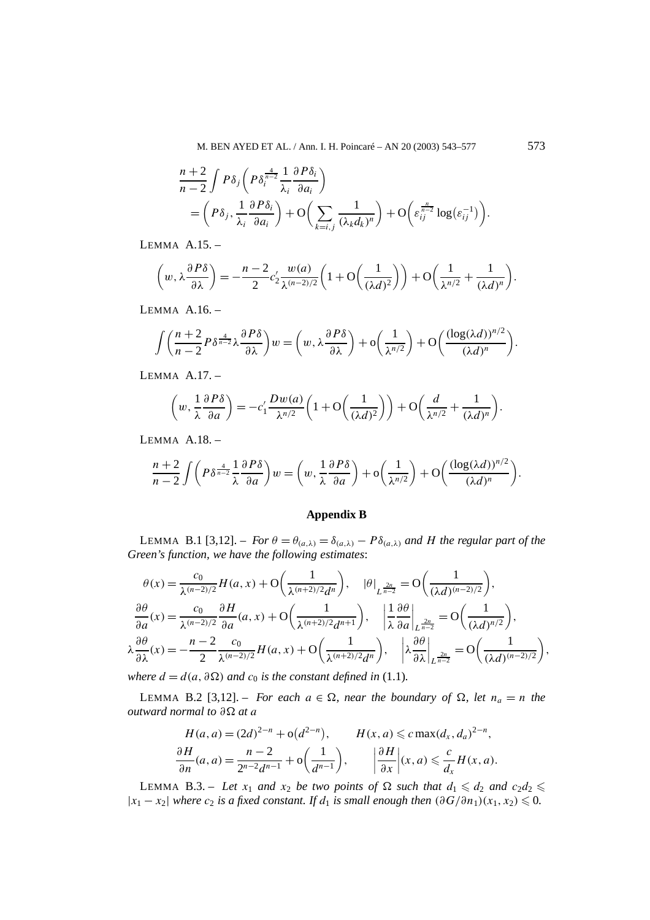$$
\frac{n+2}{n-2} \int P\delta_j \left( P \delta_i^{\frac{4}{n-2}} \frac{1}{\lambda_i} \frac{\partial P \delta_i}{\partial a_i} \right)
$$
  
= 
$$
\left( P\delta_j, \frac{1}{\lambda_i} \frac{\partial P \delta_i}{\partial a_i} \right) + O\left( \sum_{k=i,j} \frac{1}{(\lambda_k d_k)^n} \right) + O\left( \varepsilon_{ij}^{\frac{n}{n-2}} \log(\varepsilon_{ij}^{-1}) \right).
$$

LEMMA A.15. –

$$
\left(w, \lambda \frac{\partial P\delta}{\partial \lambda}\right) = -\frac{n-2}{2}c_2' \frac{w(a)}{\lambda^{(n-2)/2}} \left(1 + \mathcal{O}\left(\frac{1}{(\lambda d)^2}\right)\right) + \mathcal{O}\left(\frac{1}{\lambda^{n/2}} + \frac{1}{(\lambda d)^n}\right).
$$

LEMMA A.16. –

$$
\int \left(\frac{n+2}{n-2} P \delta^{\frac{4}{n-2}} \lambda \frac{\partial P \delta}{\partial \lambda}\right) w = \left(w, \lambda \frac{\partial P \delta}{\partial \lambda}\right) + o\left(\frac{1}{\lambda^{n/2}}\right) + O\left(\frac{(\log(\lambda d))^{n/2}}{(\lambda d)^n}\right).
$$

LEMMA A.17. –

$$
\left(w, \frac{1}{\lambda} \frac{\partial P\delta}{\partial a}\right) = -c_1' \frac{Dw(a)}{\lambda^{n/2}} \left(1 + \mathcal{O}\left(\frac{1}{(\lambda d)^2}\right)\right) + \mathcal{O}\left(\frac{d}{\lambda^{n/2}} + \frac{1}{(\lambda d)^n}\right).
$$

LEMMA A.18. –

$$
\frac{n+2}{n-2}\int \left(P\delta^{\frac{4}{n-2}}\frac{1}{\lambda}\frac{\partial P\delta}{\partial a}\right)w = \left(w, \frac{1}{\lambda}\frac{\partial P\delta}{\partial a}\right) + o\left(\frac{1}{\lambda^{n/2}}\right) + O\left(\frac{(\log(\lambda d))^{n/2}}{(\lambda d)^n}\right).
$$

# **Appendix B**

LEMMA B.1 [3,12]. – *For*  $\theta = \theta_{(a,\lambda)} = \delta_{(a,\lambda)} - P\delta_{(a,\lambda)}$  *and H* the regular part of the *Green's function, we have the following estimates*:

$$
\theta(x) = \frac{c_0}{\lambda^{(n-2)/2}} H(a, x) + O\left(\frac{1}{\lambda^{(n+2)/2} d^n}\right), \quad |\theta|_{L^{\frac{2n}{n-2}}} = O\left(\frac{1}{(\lambda d)^{(n-2)/2}}\right),
$$

$$
\frac{\partial \theta}{\partial a}(x) = \frac{c_0}{\lambda^{(n-2)/2}} \frac{\partial H}{\partial a}(a, x) + O\left(\frac{1}{\lambda^{(n+2)/2} d^{n+1}}\right), \quad \left|\frac{1}{\lambda} \frac{\partial \theta}{\partial a}\right|_{L^{\frac{2n}{n-2}}} = O\left(\frac{1}{(\lambda d)^{n/2}}\right),
$$

$$
\lambda \frac{\partial \theta}{\partial \lambda}(x) = -\frac{n-2}{2} \frac{c_0}{\lambda^{(n-2)/2}} H(a, x) + O\left(\frac{1}{\lambda^{(n+2)/2} d^n}\right), \quad \left|\lambda \frac{\partial \theta}{\partial \lambda}\right|_{L^{\frac{2n}{n-2}}} = O\left(\frac{1}{(\lambda d)^{(n-2)/2}}\right),
$$
where  $d = d(a, 2\Omega)$  and  $a$ , is the constant defined in (1, 1).

*where*  $d = d(a, \partial Ω)$  *and*  $c_0$  *is the constant defined in* (1.1)*.* 

LEMMA B.2 [3,12]. – *For each*  $a \in \Omega$ , *near the boundary of*  $\Omega$ , *let*  $n_a = n$  *the outward normal to ∂ at a*

$$
H(a, a) = (2d)^{2-n} + o(d^{2-n}), \qquad H(x, a) \leq c \max(d_x, d_a)^{2-n},
$$
  
\n
$$
\frac{\partial H}{\partial n}(a, a) = \frac{n-2}{2^{n-2}d^{n-1}} + o\left(\frac{1}{d^{n-1}}\right), \qquad \left|\frac{\partial H}{\partial x}\right|(x, a) \leq \frac{c}{d_x}H(x, a).
$$

LEMMA B.3. – Let  $x_1$  and  $x_2$  be two points of  $\Omega$  such that  $d_1 \leqslant d_2$  and  $c_2d_2 \leqslant$  $|x_1 - x_2|$  *where*  $c_2$  *is a fixed constant. If*  $d_1$  *is small enough then*  $(\partial G/\partial n_1)(x_1, x_2)$  ≤ 0*.*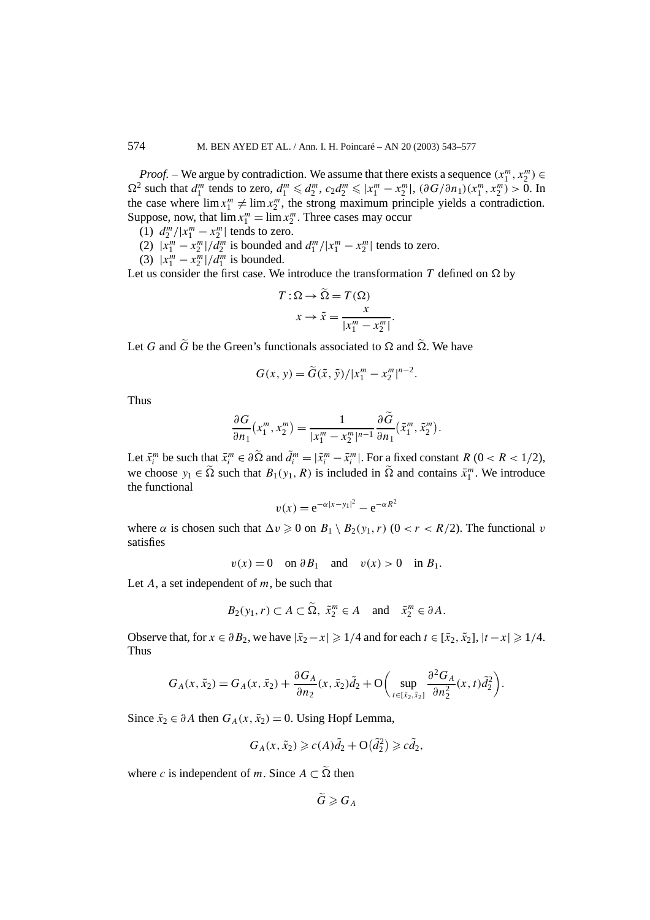*Proof.* – We argue by contradiction. We assume that there exists a sequence  $(x_1^m, x_2^m) \in$  $\Omega^2$  such that  $d_1^m$  tends to zero,  $d_1^m \leq d_2^m$ ,  $c_2 d_2^m \leq |x_1^m - x_2^m|$ ,  $(\partial G/\partial n_1)(x_1^m, x_2^m) > 0$ . In the case where  $\lim_{n \to \infty} x_1^m \neq \lim_{n \to \infty} x_2^m$ , the strong maximum principle yields a contradiction. Suppose, now, that  $\lim x_1^m = \lim x_2^m$ . Three cases may occur

- (1)  $d_2^m / |x_1^m x_2^m|$  tends to zero.
- (2)  $|x_1^m x_2^m|/d_2^m$  is bounded and  $d_1^m/|x_1^m x_2^m|$  tends to zero.
- (3)  $|x_1^m x_2^m|/d_1^m$  is bounded.

Let us consider the first case. We introduce the transformation  $T$  defined on  $\Omega$  by

$$
T: \Omega \to \tilde{\Omega} = T(\Omega)
$$

$$
x \to \tilde{x} = \frac{x}{|x_1^m - x_2^m|}
$$

*.*

Let *G* and  $\widetilde{G}$  be the Green's functionals associated to  $\Omega$  and  $\widetilde{\Omega}$ . We have

$$
G(x, y) = \tilde{G}(\tilde{x}, \tilde{y}) / |x_1^m - x_2^m|^{n-2}.
$$

Thus

$$
\frac{\partial G}{\partial n_1}(x_1^m, x_2^m) = \frac{1}{|x_1^m - x_2^m|^{n-1}} \frac{\partial \widetilde{G}}{\partial n_1}(\widetilde{x}_1^m, \widetilde{x}_2^m).
$$

Let  $\bar{x}_i^m$  be such that  $\bar{x}_i^m \in \partial \tilde{\Omega}$  and  $\tilde{d}_i^m = |\tilde{x}_i^m - \bar{x}_i^m|$ . For a fixed constant  $R$  (0 <  $R$  < 1/2), we choose  $y_1 \in \tilde{\Omega}$  such that  $B_1(y_1, R)$  is included in  $\tilde{\Omega}$  and contains  $\bar{x}_1^m$ . We introduce the functional

$$
v(x) = e^{-\alpha |x - y_1|^2} - e^{-\alpha R^2}
$$

where  $\alpha$  is chosen such that  $\Delta v \geq 0$  on  $B_1 \setminus B_2(v_1, r)$   $(0 < r < R/2)$ . The functional *v* satisfies

 $v(x) = 0$  on  $\partial B_1$  and  $v(x) > 0$  in  $B_1$ .

Let *A*, a set independent of *m*, be such that

$$
B_2(y_1, r) \subset A \subset \widetilde{\Omega}, \ \tilde{x}_2^m \in A \quad \text{and} \quad \bar{x}_2^m \in \partial A.
$$

Observe that, for  $x \in \partial B_2$ , we have  $|\bar{x}_2 - x| \geq 1/4$  and for each  $t \in [\bar{x}_2, \tilde{x}_2]$ ,  $|t - x| \geq 1/4$ . Thus

$$
G_A(x, \tilde{x}_2) = G_A(x, \bar{x}_2) + \frac{\partial G_A}{\partial n_2}(x, \bar{x}_2)\tilde{d}_2 + O\bigg(\sup_{t \in [\tilde{x}_2, \tilde{x}_2]} \frac{\partial^2 G_A}{\partial n_2^2}(x, t)\tilde{d}_2^2\bigg).
$$

Since  $\bar{x}_2$  ∈ *∂A* then  $G_A(x, \bar{x}_2) = 0$ . Using Hopf Lemma,

$$
G_A(x, \tilde{x}_2) \geqslant c(A)\tilde{d}_2 + \mathcal{O}(\tilde{d}_2^2) \geqslant c\tilde{d}_2,
$$

where *c* is independent of *m*. Since  $A \subset \tilde{\Omega}$  then

$$
\ddot{G}\geqslant G_A
$$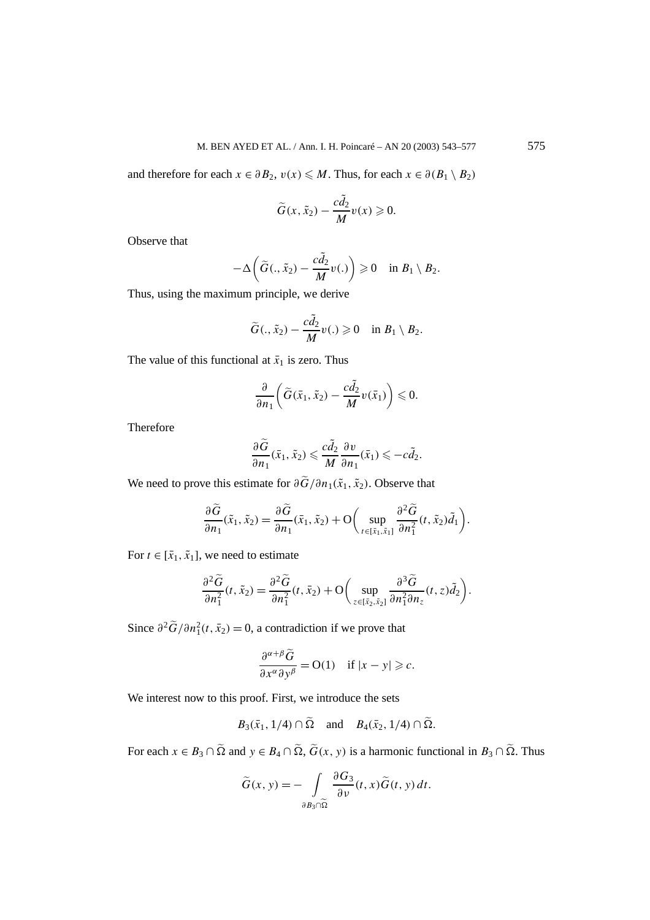and therefore for each  $x \in \partial B_2$ ,  $v(x) \le M$ . Thus, for each  $x \in \partial (B_1 \setminus B_2)$ 

$$
\widetilde{G}(x,\widetilde{x}_2)-\frac{c\widetilde{d}_2}{M}v(x)\geqslant 0.
$$

Observe that

$$
-\Delta\bigg(\widetilde{G}(.,\widetilde{x}_2)-\frac{c\widetilde{d}_2}{M}v(.)\bigg)\geqslant 0 \quad \text{in } B_1\setminus B_2.
$$

Thus, using the maximum principle, we derive

$$
\widetilde{G}(.,\tilde{x}_2)-\frac{c\tilde{d}_2}{M}v(.)\geqslant 0 \quad \text{in } B_1\setminus B_2.
$$

The value of this functional at  $\bar{x}_1$  is zero. Thus

$$
\frac{\partial}{\partial n_1}\bigg(\widetilde{G}(\bar{x}_1,\tilde{x}_2)-\frac{c\tilde{d}_2}{M}\nu(\bar{x}_1)\bigg)\leqslant 0.
$$

Therefore

$$
\frac{\partial \widetilde{G}}{\partial n_1}(\bar{x}_1, \tilde{x}_2) \leqslant \frac{c\widetilde{d}_2}{M} \frac{\partial v}{\partial n_1}(\bar{x}_1) \leqslant -c\widetilde{d}_2.
$$

We need to prove this estimate for  $\partial \tilde{G}/\partial n_1(\tilde{x}_1, \tilde{x}_2)$ . Observe that

$$
\frac{\partial \widetilde{G}}{\partial n_1}(\tilde{x}_1, \tilde{x}_2) = \frac{\partial \widetilde{G}}{\partial n_1}(\bar{x}_1, \tilde{x}_2) + \mathcal{O}\bigg(\sup_{t \in [\bar{x}_1, \tilde{x}_1]} \frac{\partial^2 \widetilde{G}}{\partial n_1^2} (t, \tilde{x}_2) \widetilde{d}_1\bigg).
$$

For  $t \in [\bar{x}_1, \tilde{x}_1]$ , we need to estimate

$$
\frac{\partial^2 \widetilde{G}}{\partial n_1^2}(t, \tilde{x}_2) = \frac{\partial^2 \widetilde{G}}{\partial n_1^2}(t, \bar{x}_2) + \mathcal{O}\bigg(\sup_{z \in [\bar{x}_2, \tilde{x}_2]} \frac{\partial^3 \widetilde{G}}{\partial n_1^2 \partial n_z}(t, z)\widetilde{d}_2\bigg).
$$

Since  $\partial^2 \tilde{G}/\partial n_1^2(t, \bar{x}_2) = 0$ , a contradiction if we prove that

$$
\frac{\partial^{\alpha+\beta}\widetilde{G}}{\partial x^{\alpha}\partial y^{\beta}} = O(1) \quad \text{if } |x-y| \geqslant c.
$$

We interest now to this proof. First, we introduce the sets

$$
B_3(\bar{x}_1, 1/4) \cap \tilde{\Omega}
$$
 and  $B_4(\bar{x}_2, 1/4) \cap \tilde{\Omega}$ .

For each  $x \in B_3 \cap \tilde{\Omega}$  and  $y \in B_4 \cap \tilde{\Omega}$ ,  $\tilde{G}(x, y)$  is a harmonic functional in  $B_3 \cap \tilde{\Omega}$ . Thus

$$
\widetilde{G}(x, y) = -\int\limits_{\partial B_3 \cap \widetilde{\Omega}} \frac{\partial G_3}{\partial v}(t, x) \widetilde{G}(t, y) dt.
$$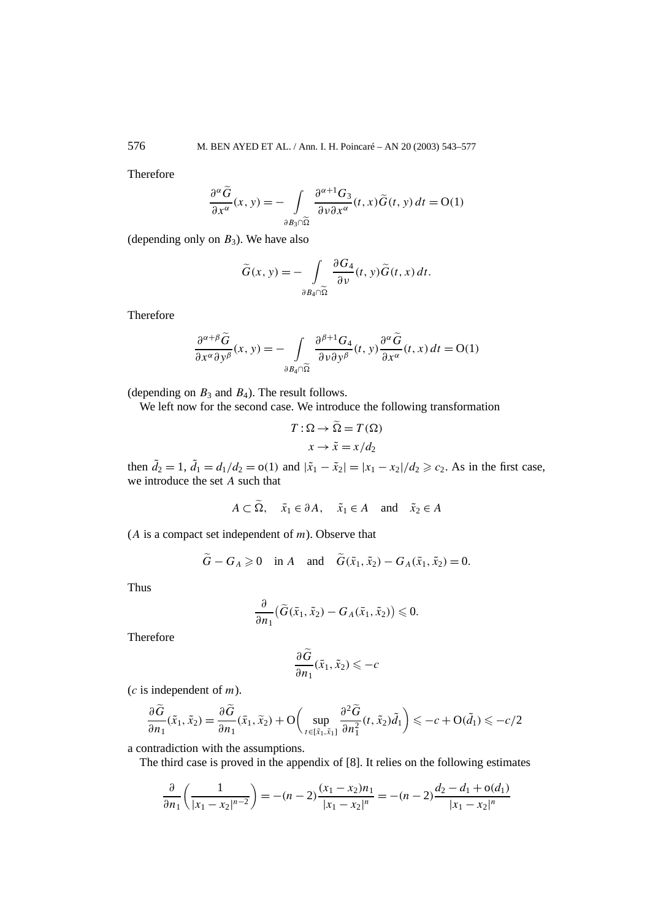Therefore

$$
\frac{\partial^{\alpha}\widetilde{G}}{\partial x^{\alpha}}(x, y) = -\int_{\partial B_3 \cap \widetilde{\Omega}} \frac{\partial^{\alpha+1}G_3}{\partial v \partial x^{\alpha}}(t, x) \widetilde{G}(t, y) dt = O(1)
$$

(depending only on  $B_3$ ). We have also

$$
\widetilde{G}(x, y) = -\int\limits_{\partial B_4 \cap \widetilde{\Omega}} \frac{\partial G_4}{\partial v}(t, y) \widetilde{G}(t, x) dt.
$$

Therefore

$$
\frac{\partial^{\alpha+\beta}\widetilde{G}}{\partial x^{\alpha}\partial y^{\beta}}(x, y) = -\int_{\partial B_4 \cap \widetilde{\Omega}} \frac{\partial^{\beta+1}G_4}{\partial v \partial y^{\beta}}(t, y) \frac{\partial^{\alpha}\widetilde{G}}{\partial x^{\alpha}}(t, x) dt = O(1)
$$

(depending on  $B_3$  and  $B_4$ ). The result follows.

We left now for the second case. We introduce the following transformation

$$
T: \Omega \to \Omega = T(\Omega)
$$

$$
x \to \tilde{x} = x/d_2
$$

then  $\tilde{d}_2 = 1$ ,  $\tilde{d}_1 = d_1/d_2 = o(1)$  and  $|\tilde{x}_1 - \tilde{x}_2| = |x_1 - x_2|/d_2 \ge c_2$ . As in the first case, we introduce the set *A* such that

$$
A \subset \Omega
$$
,  $\bar{x}_1 \in \partial A$ ,  $\tilde{x}_1 \in A$  and  $\tilde{x}_2 \in A$ 

(*A* is a compact set independent of *m*). Observe that

$$
\widetilde{G} - G_A \geq 0
$$
 in A and  $\widetilde{G}(\bar{x}_1, \tilde{x}_2) - G_A(\bar{x}_1, \tilde{x}_2) = 0$ .

Thus

$$
\frac{\partial}{\partial n_1} \big( \widetilde{G}(\bar{x}_1, \tilde{x}_2) - G_A(\bar{x}_1, \tilde{x}_2) \big) \leq 0.
$$

Therefore

$$
\frac{\partial G}{\partial n_1}(\bar{x}_1, \tilde{x}_2) \leq -c
$$

(*c* is independent of *m*).

$$
\frac{\partial \widetilde{G}}{\partial n_1}(\tilde{x}_1, \tilde{x}_2) = \frac{\partial \widetilde{G}}{\partial n_1}(\bar{x}_1, \tilde{x}_2) + \mathcal{O}\bigg(\sup_{t \in [\bar{x}_1, \tilde{x}_1]} \frac{\partial^2 \widetilde{G}}{\partial n_1^2} (t, \tilde{x}_2) \widetilde{d}_1\bigg) \leq -c + \mathcal{O}(\widetilde{d}_1) \leq -c/2
$$

a contradiction with the assumptions.

The third case is proved in the appendix of [8]. It relies on the following estimates

$$
\frac{\partial}{\partial n_1} \left( \frac{1}{|x_1 - x_2|^{n-2}} \right) = -(n-2) \frac{(x_1 - x_2)n_1}{|x_1 - x_2|^n} = -(n-2) \frac{d_2 - d_1 + o(d_1)}{|x_1 - x_2|^n}
$$